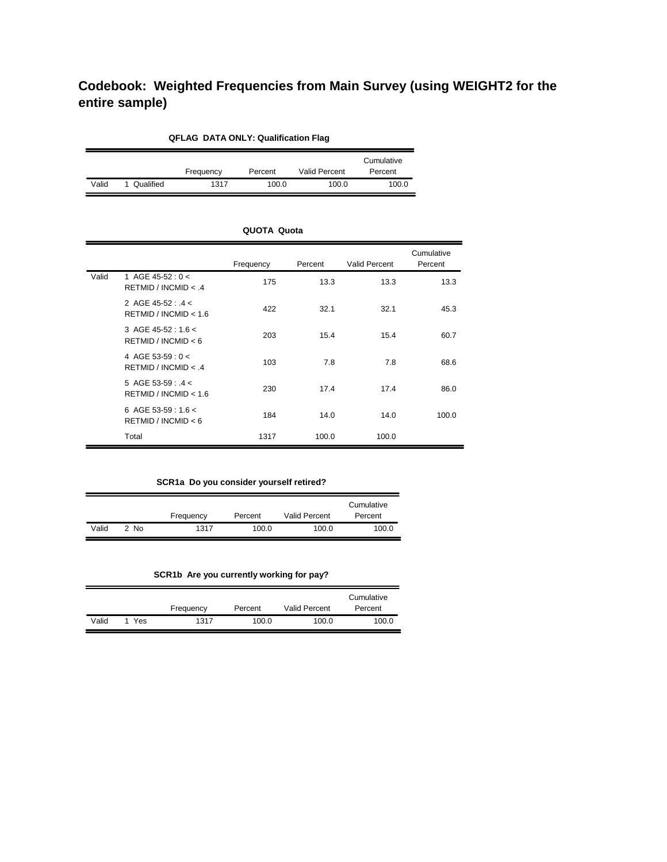# **Codebook: Weighted Frequencies from Main Survey (using WEIGHT2 for the entire sample)**

| <b>QFLAG DATA ONLY: Qualification Flag</b> |           |           |         |                      |                       |  |  |
|--------------------------------------------|-----------|-----------|---------|----------------------|-----------------------|--|--|
|                                            |           | Frequency | Percent | <b>Valid Percent</b> | Cumulative<br>Percent |  |  |
| Valid                                      | Qualified | 1317      | 100.0   | 100.0                | 100.0                 |  |  |

|       |                                               | Frequency | Percent | <b>Valid Percent</b> | Cumulative<br>Percent |
|-------|-----------------------------------------------|-----------|---------|----------------------|-----------------------|
| Valid | 1 AGE 45-52: $0 <$<br>RETMID / INCMID < 4     | 175       | 13.3    | 13.3                 | 13.3                  |
|       | 2 AGE 45-52 : $.4 <$<br>RETMID / INCMID < 1.6 | 422       | 32.1    | 32.1                 | 45.3                  |
|       | 3 AGE 45-52 : 1.6 <<br>RETMID / INCMID < 6    | 203       | 15.4    | 15.4                 | 60.7                  |
|       | 4 AGE 53-59 : 0 <<br>RETMID / INCMID < 4      | 103       | 7.8     | 7.8                  | 68.6                  |
|       | 5 AGE 53-59 : $4 <$<br>RETMID / INCMID < 1.6  | 230       | 17.4    | 17.4                 | 86.0                  |
|       | 6 AGE 53-59 : 1.6 <<br>RETMID / INCMID < 6    | 184       | 14.0    | 14.0                 | 100.0                 |
|       | Total                                         | 1317      | 100.0   | 100.0                |                       |

**QUOTA Quota**

## **SCR1a Do you consider yourself retired?**

|       |           | Frequency | Percent | <b>Valid Percent</b> | Cumulative<br>Percent |
|-------|-----------|-----------|---------|----------------------|-----------------------|
| Valid | <b>No</b> | 1317      | 100.0   | 100.0                | 100.0                 |

# **SCR1b Are you currently working for pay?**

|       |     | Frequency | Percent | <b>Valid Percent</b> | Cumulative<br>Percent |
|-------|-----|-----------|---------|----------------------|-----------------------|
| Valid | Yes | 1317      | 100.0   | 100.0                | 100.0                 |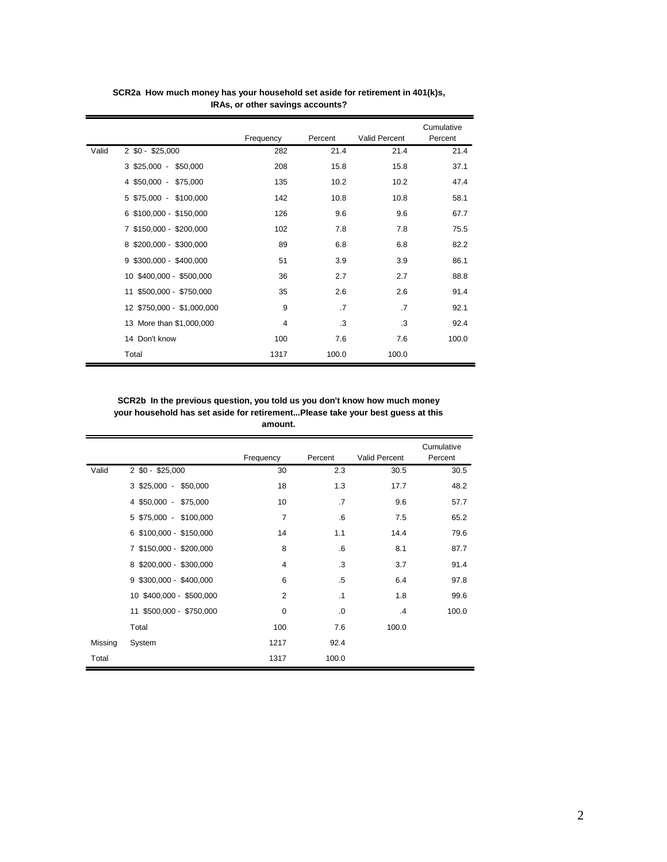|       |                            | Frequency | Percent   | Valid Percent | Cumulative<br>Percent |
|-------|----------------------------|-----------|-----------|---------------|-----------------------|
| Valid | $2$ \$0 - \$25,000         | 282       | 21.4      | 21.4          | 21.4                  |
|       | 3 \$25,000 - \$50,000      | 208       | 15.8      | 15.8          | 37.1                  |
|       | 4 \$50,000 - \$75,000      | 135       | 10.2      | 10.2          | 47.4                  |
|       | 5 \$75,000 - \$100,000     | 142       | 10.8      | 10.8          | 58.1                  |
|       | 6 \$100,000 - \$150,000    | 126       | 9.6       | 9.6           | 67.7                  |
|       | 7 \$150,000 - \$200,000    | 102       | 7.8       | 7.8           | 75.5                  |
|       | 8 \$200,000 - \$300,000    | 89        | 6.8       | 6.8           | 82.2                  |
|       | 9 \$300,000 - \$400,000    | 51        | 3.9       | 3.9           | 86.1                  |
|       | 10 \$400,000 - \$500,000   | 36        | 2.7       | 2.7           | 88.8                  |
|       | 11 \$500,000 - \$750,000   | 35        | 2.6       | 2.6           | 91.4                  |
|       | 12 \$750,000 - \$1,000,000 | 9         | $\cdot$ 7 | $\cdot$ 7     | 92.1                  |
|       | 13 More than \$1,000,000   | 4         | .3        | .3            | 92.4                  |
|       | 14 Don't know              | 100       | 7.6       | 7.6           | 100.0                 |
|       | Total                      | 1317      | 100.0     | 100.0         |                       |

**SCR2a How much money has your household set aside for retirement in 401(k)s, IRAs, or other savings accounts?**

 $\overline{ }$ 

**SCR2b In the previous question, you told us you don't know how much money your household has set aside for retirement...Please take your best guess at this amount.**

|         |                          | Frequency      | Percent   | <b>Valid Percent</b> | Cumulative<br>Percent |
|---------|--------------------------|----------------|-----------|----------------------|-----------------------|
| Valid   | 2 \$0 - \$25,000         | 30             | 2.3       | 30.5                 | 30.5                  |
|         | 3 \$25,000 - \$50,000    | 18             | 1.3       | 17.7                 | 48.2                  |
|         | 4 \$50,000 - \$75,000    | 10             | $\cdot$ 7 | 9.6                  | 57.7                  |
|         | 5 \$75,000 - \$100,000   | $\overline{7}$ | .6        | 7.5                  | 65.2                  |
|         | 6 \$100,000 - \$150,000  | 14             | 1.1       | 14.4                 | 79.6                  |
|         | 7 \$150,000 - \$200,000  | 8              | .6        | 8.1                  | 87.7                  |
|         | 8 \$200,000 - \$300,000  | $\overline{4}$ | .3        | 3.7                  | 91.4                  |
|         | 9 \$300,000 - \$400,000  | 6              | $.5\,$    | 6.4                  | 97.8                  |
|         | 10 \$400,000 - \$500,000 | $\overline{2}$ | $\cdot$ 1 | 1.8                  | 99.6                  |
|         | 11 \$500,000 - \$750,000 | $\mathbf 0$    | .0        | .4                   | 100.0                 |
|         | Total                    | 100            | 7.6       | 100.0                |                       |
| Missing | System                   | 1217           | 92.4      |                      |                       |
| Total   |                          | 1317           | 100.0     |                      |                       |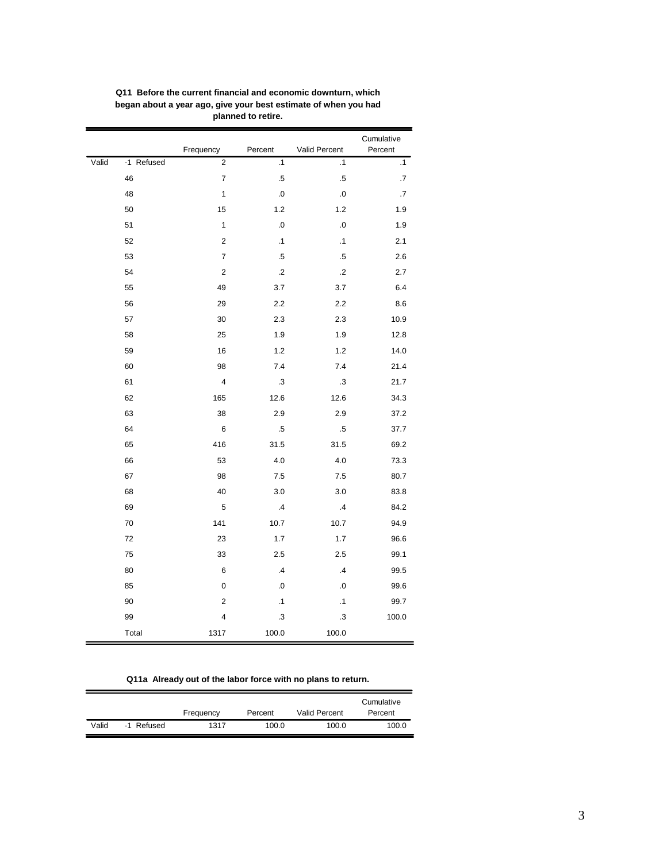|       |            | Frequency                | Percent   | Valid Percent | Cumulative<br>Percent |
|-------|------------|--------------------------|-----------|---------------|-----------------------|
| Valid | -1 Refused | $\overline{\mathbf{c}}$  | $\cdot$ 1 | $\cdot$ 1     | $\cdot$ 1             |
|       | 46         | $\overline{\mathcal{I}}$ | $.5\,$    | $.5\,$        | .7                    |
|       | 48         | 1                        | $\cdot$ 0 | $\cdot$ 0     | .7                    |
|       | 50         | 15                       | 1.2       | 1.2           | 1.9                   |
|       | 51         | $\mathbf{1}$             | .0        | $\cdot$ 0     | 1.9                   |
|       | 52         | 2                        | $\cdot$ 1 | $\cdot$ 1     | 2.1                   |
|       | 53         | $\overline{\mathcal{I}}$ | $.5\,$    | $.5\,$        | 2.6                   |
|       | 54         | $\mathbf 2$              | .2        | $\cdot$       | 2.7                   |
|       | 55         | 49                       | 3.7       | 3.7           | 6.4                   |
|       | 56         | 29                       | 2.2       | 2.2           | 8.6                   |
|       | 57         | 30                       | 2.3       | 2.3           | 10.9                  |
|       | 58         | 25                       | 1.9       | 1.9           | 12.8                  |
|       | 59         | 16                       | 1.2       | 1.2           | 14.0                  |
|       | 60         | 98                       | 7.4       | 7.4           | 21.4                  |
|       | 61         | 4                        | $\cdot$ 3 | $\cdot$ 3     | 21.7                  |
|       | 62         | 165                      | 12.6      | 12.6          | 34.3                  |
|       | 63         | 38                       | 2.9       | 2.9           | 37.2                  |
|       | 64         | 6                        | $.5\,$    | $.5\,$        | 37.7                  |
|       | 65         | 416                      | 31.5      | 31.5          | 69.2                  |
|       | 66         | 53                       | 4.0       | 4.0           | 73.3                  |
|       | 67         | 98                       | 7.5       | 7.5           | 80.7                  |
|       | 68         | 40                       | 3.0       | 3.0           | 83.8                  |
|       | 69         | 5                        | .4        | .4            | 84.2                  |
|       | 70         | 141                      | 10.7      | 10.7          | 94.9                  |
|       | 72         | 23                       | 1.7       | 1.7           | 96.6                  |
|       | 75         | 33                       | 2.5       | 2.5           | 99.1                  |
|       | 80         | 6                        | .4        | $\cdot$ 4     | 99.5                  |
|       | 85         | $\mathbf 0$              | $\cdot$ 0 | $\cdot$ 0     | 99.6                  |
|       | 90         | 2                        | $\cdot$ 1 | $\cdot$ 1     | 99.7                  |
|       | 99         | 4                        | $\cdot$ 3 | $\cdot$ 3     | 100.0                 |
|       | Total      | 1317                     | 100.0     | 100.0         |                       |

**Q11 Before the current financial and economic downturn, which began about a year ago, give your best estimate of when you had planned to retire.**

## **Q11a Already out of the labor force with no plans to return.**

|       |            | Frequency | Percent | <b>Valid Percent</b> | Cumulative<br>Percent |
|-------|------------|-----------|---------|----------------------|-----------------------|
| Valid | -1 Refused | 1317      | 100.0   | 100.0                | 100.0                 |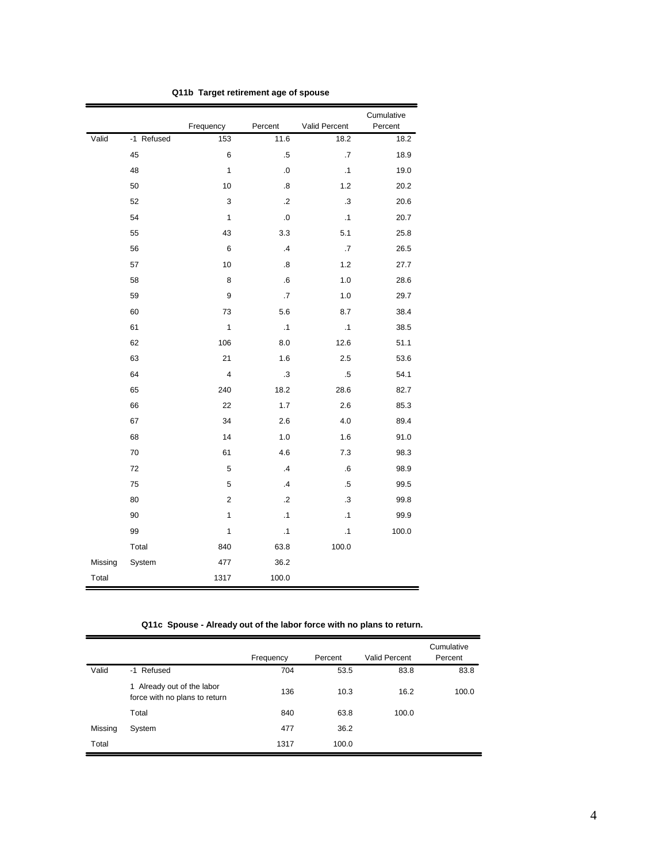|         |            | Frequency      | Percent                 | Valid Percent | Cumulative<br>Percent |
|---------|------------|----------------|-------------------------|---------------|-----------------------|
| Valid   | -1 Refused | 153            | 11.6                    | 18.2          | 18.2                  |
|         | 45         | 6              | $.5\,$                  | .7            | 18.9                  |
|         | 48         | $\mathbf{1}$   | .0                      | $\cdot$ 1     | 19.0                  |
|         | 50         | 10             | $\boldsymbol{.8}$       | 1.2           | 20.2                  |
|         | 52         | 3              | $\cdot$ .2              | .3            | 20.6                  |
|         | 54         | 1              | $\overline{\mathbf{0}}$ | $\cdot$ 1     | 20.7                  |
|         | 55         | 43             | 3.3                     | 5.1           | 25.8                  |
|         | 56         | $\,6$          | $\cdot$ 4               | .7            | 26.5                  |
|         | 57         | 10             | .8                      | 1.2           | 27.7                  |
|         | 58         | 8              | 6.6                     | 1.0           | 28.6                  |
|         | 59         | 9              | $\cdot$ 7               | 1.0           | 29.7                  |
|         | 60         | 73             | 5.6                     | 8.7           | 38.4                  |
|         | 61         | 1              | $\cdot$ 1               | .1            | 38.5                  |
|         | 62         | 106            | 8.0                     | 12.6          | 51.1                  |
|         | 63         | 21             | 1.6                     | 2.5           | 53.6                  |
|         | 64         | $\overline{4}$ | .3                      | .5            | 54.1                  |
|         | 65         | 240            | 18.2                    | 28.6          | 82.7                  |
|         | 66         | 22             | 1.7                     | 2.6           | 85.3                  |
|         | 67         | 34             | 2.6                     | 4.0           | 89.4                  |
|         | 68         | 14             | 1.0                     | 1.6           | 91.0                  |
|         | 70         | 61             | 4.6                     | 7.3           | 98.3                  |
|         | 72         | 5              | $\cdot$ 4               | 6             | 98.9                  |
|         | 75         | 5              | $\cdot$                 | .5            | 99.5                  |
|         | 80         | $\overline{2}$ | $\cdot$ .2              | .3            | 99.8                  |
|         | 90         | 1              | $\cdot$ 1               | $\cdot$ 1     | 99.9                  |
|         | 99         | 1              | $\cdot$ 1               | $\cdot$ 1     | 100.0                 |
|         | Total      | 840            | 63.8                    | 100.0         |                       |
| Missing | System     | 477            | 36.2                    |               |                       |
| Total   |            | 1317           | 100.0                   |               |                       |

**Q11b Target retirement age of spouse**

**Q11c Spouse - Already out of the labor force with no plans to return.**

|         |                                                             | Frequency | Percent | <b>Valid Percent</b> | Cumulative<br>Percent |
|---------|-------------------------------------------------------------|-----------|---------|----------------------|-----------------------|
| Valid   | -1 Refused                                                  | 704       | 53.5    | 83.8                 | 83.8                  |
|         | 1 Already out of the labor<br>force with no plans to return | 136       | 10.3    | 16.2                 | 100.0                 |
|         | Total                                                       | 840       | 63.8    | 100.0                |                       |
| Missing | System                                                      | 477       | 36.2    |                      |                       |
| Total   |                                                             | 1317      | 100.0   |                      |                       |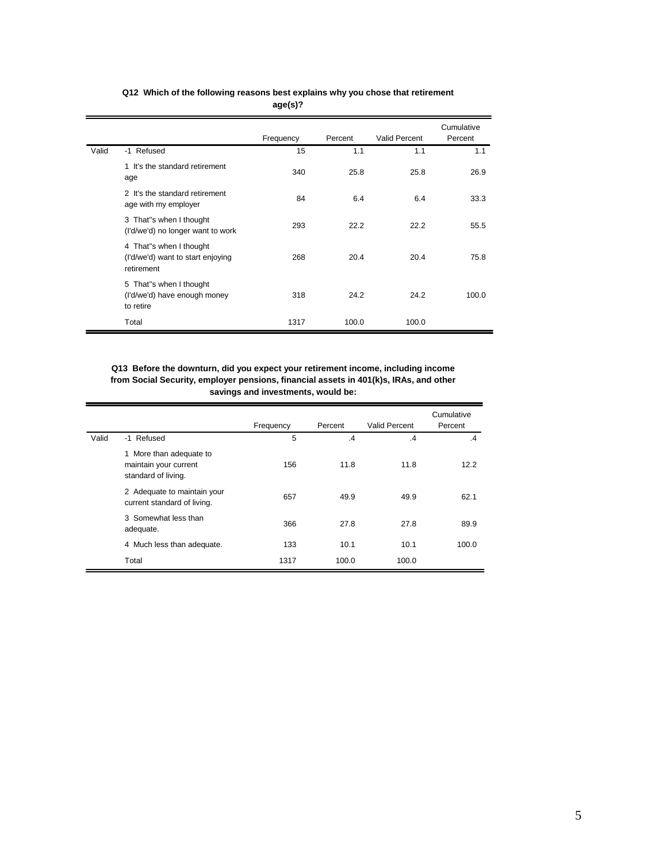|       |                                                                            | - 9 - 1 - 1 - |         |                      |                       |
|-------|----------------------------------------------------------------------------|---------------|---------|----------------------|-----------------------|
|       |                                                                            | Frequency     | Percent | <b>Valid Percent</b> | Cumulative<br>Percent |
| Valid | -1 Refused                                                                 | 15            | 1.1     | 1.1                  | 1.1                   |
|       | 1 It's the standard retirement<br>age                                      | 340           | 25.8    | 25.8                 | 26.9                  |
|       | 2 It's the standard retirement<br>age with my employer                     | 84            | 6.4     | 6.4                  | 33.3                  |
|       | 3 That"s when I thought<br>(I'd/we'd) no longer want to work               | 293           | 22.2    | 22.2                 | 55.5                  |
|       | 4 That"s when I thought<br>(I'd/we'd) want to start enjoying<br>retirement | 268           | 20.4    | 20.4                 | 75.8                  |
|       | 5 That"s when I thought<br>(I'd/we'd) have enough money<br>to retire       | 318           | 24.2    | 24.2                 | 100.0                 |
|       | Total                                                                      | 1317          | 100.0   | 100.0                |                       |

#### **Q12 Which of the following reasons best explains why you chose that retirement age(s)?**

#### **Q13 Before the downturn, did you expect your retirement income, including income from Social Security, employer pensions, financial assets in 401(k)s, IRAs, and other savings and investments, would be:**

|       |                                                                         | Frequency | Percent       | <b>Valid Percent</b> | Cumulative<br>Percent |
|-------|-------------------------------------------------------------------------|-----------|---------------|----------------------|-----------------------|
| Valid | -1 Refused                                                              | 5         | $\mathcal{A}$ | $\mathcal{A}$        | $\mathbf{A}$          |
|       | 1 More than adequate to<br>maintain your current<br>standard of living. | 156       | 11.8          | 11.8                 | 12.2                  |
|       | 2 Adequate to maintain your<br>current standard of living.              | 657       | 49.9          | 49.9                 | 62.1                  |
|       | 3 Somewhat less than<br>adequate.                                       | 366       | 27.8          | 27.8                 | 89.9                  |
|       | 4 Much less than adequate.                                              | 133       | 10.1          | 10.1                 | 100.0                 |
|       | Total                                                                   | 1317      | 100.0         | 100.0                |                       |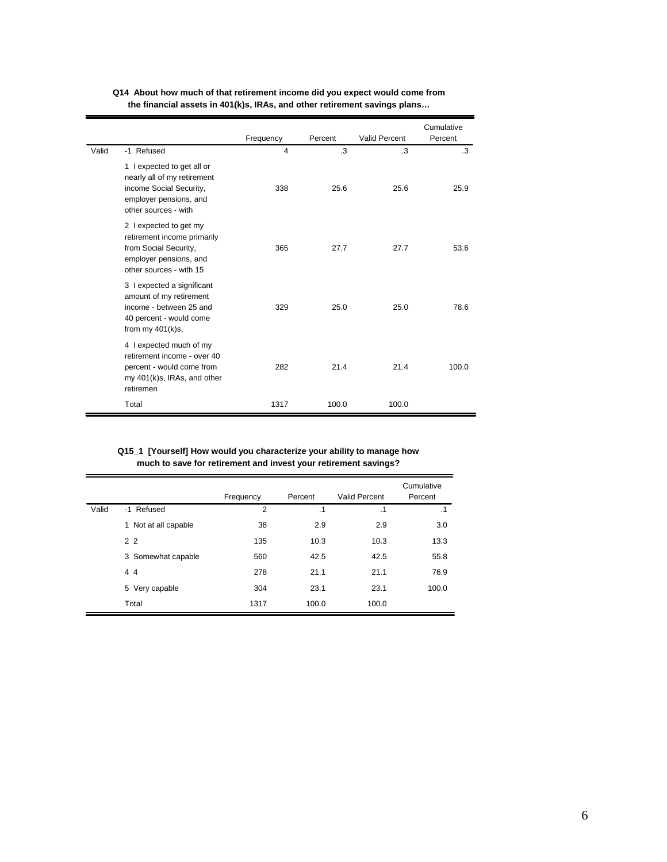|       |                                                                                                                                       | Frequency      | Percent | Valid Percent | Cumulative<br>Percent |
|-------|---------------------------------------------------------------------------------------------------------------------------------------|----------------|---------|---------------|-----------------------|
| Valid | -1 Refused                                                                                                                            | $\overline{4}$ | .3      | $\cdot$ 3     | $\cdot$ 3             |
|       | 1 lexpected to get all or<br>nearly all of my retirement<br>income Social Security,<br>employer pensions, and<br>other sources - with | 338            | 25.6    | 25.6          | 25.9                  |
|       | 2 l expected to get my<br>retirement income primarily<br>from Social Security,<br>employer pensions, and<br>other sources - with 15   | 365            | 27.7    | 27.7          | 53.6                  |
|       | 3 I expected a significant<br>amount of my retirement<br>income - between 25 and<br>40 percent - would come<br>from my $401(k)s$ ,    | 329            | 25.0    | 25.0          | 78.6                  |
|       | 4 I expected much of my<br>retirement income - over 40<br>percent - would come from<br>my 401(k)s, IRAs, and other<br>retiremen       | 282            | 21.4    | 21.4          | 100.0                 |
|       | Total                                                                                                                                 | 1317           | 100.0   | 100.0         |                       |

## **Q14 About how much of that retirement income did you expect would come from the financial assets in 401(k)s, IRAs, and other retirement savings plans…**

#### **Q15\_1 [Yourself] How would you characterize your ability to manage how much to save for retirement and invest your retirement savings?**

|       |                      | Frequency      | Percent   | <b>Valid Percent</b> | Cumulative<br>Percent |
|-------|----------------------|----------------|-----------|----------------------|-----------------------|
| Valid | -1 Refused           | $\overline{2}$ | $\cdot$ 1 | $\cdot$ 1            | $\cdot$ 1             |
|       | 1 Not at all capable | 38             | 2.9       | 2.9                  | 3.0                   |
|       | 2 <sub>2</sub>       | 135            | 10.3      | 10.3                 | 13.3                  |
|       | 3 Somewhat capable   | 560            | 42.5      | 42.5                 | 55.8                  |
|       | 44                   | 278            | 21.1      | 21.1                 | 76.9                  |
|       | 5 Very capable       | 304            | 23.1      | 23.1                 | 100.0                 |
|       | Total                | 1317           | 100.0     | 100.0                |                       |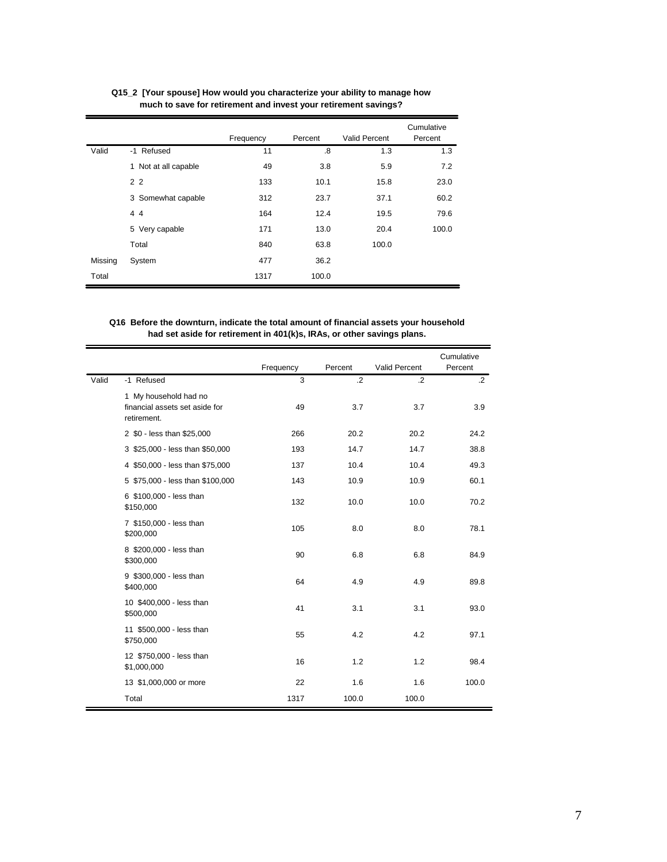|         |                      | Frequency | Percent | <b>Valid Percent</b> | Cumulative<br>Percent |
|---------|----------------------|-----------|---------|----------------------|-----------------------|
| Valid   | -1 Refused           | 11        | .8      | 1.3                  | 1.3                   |
|         | 1 Not at all capable | 49        | 3.8     | 5.9                  | 7.2                   |
|         | 2 <sub>2</sub>       | 133       | 10.1    | 15.8                 | 23.0                  |
|         | 3 Somewhat capable   | 312       | 23.7    | 37.1                 | 60.2                  |
|         | 44                   | 164       | 12.4    | 19.5                 | 79.6                  |
|         | 5 Very capable       | 171       | 13.0    | 20.4                 | 100.0                 |
|         | Total                | 840       | 63.8    | 100.0                |                       |
| Missing | System               | 477       | 36.2    |                      |                       |
| Total   |                      | 1317      | 100.0   |                      |                       |

**Q15\_2 [Your spouse] How would you characterize your ability to manage how much to save for retirement and invest your retirement savings?**

## **Q16 Before the downturn, indicate the total amount of financial assets your household had set aside for retirement in 401(k)s, IRAs, or other savings plans.**

|       |                                                                        |           |         |               | Cumulative |
|-------|------------------------------------------------------------------------|-----------|---------|---------------|------------|
|       |                                                                        | Frequency | Percent | Valid Percent | Percent    |
| Valid | -1 Refused                                                             | 3         | $\cdot$ | $\cdot$       | $\cdot$ 2  |
|       | 1 My household had no<br>financial assets set aside for<br>retirement. | 49        | 3.7     | 3.7           | 3.9        |
|       | 2 \$0 - less than \$25,000                                             | 266       | 20.2    | 20.2          | 24.2       |
|       | 3 \$25,000 - less than \$50,000                                        | 193       | 14.7    | 14.7          | 38.8       |
|       | 4 \$50,000 - less than \$75,000                                        | 137       | 10.4    | 10.4          | 49.3       |
|       | 5 \$75,000 - less than \$100,000                                       | 143       | 10.9    | 10.9          | 60.1       |
|       | 6 \$100,000 - less than<br>\$150,000                                   | 132       | 10.0    | 10.0          | 70.2       |
|       | 7 \$150,000 - less than<br>\$200,000                                   | 105       | 8.0     | 8.0           | 78.1       |
|       | 8 \$200,000 - less than<br>\$300,000                                   | 90        | 6.8     | 6.8           | 84.9       |
|       | 9 \$300,000 - less than<br>\$400,000                                   | 64        | 4.9     | 4.9           | 89.8       |
|       | 10 \$400,000 - less than<br>\$500,000                                  | 41        | 3.1     | 3.1           | 93.0       |
|       | 11 \$500,000 - less than<br>\$750,000                                  | 55        | 4.2     | 4.2           | 97.1       |
|       | 12 \$750,000 - less than<br>\$1,000,000                                | 16        | 1.2     | 1.2           | 98.4       |
|       | 13 \$1,000,000 or more                                                 | 22        | 1.6     | 1.6           | 100.0      |
|       | Total                                                                  | 1317      | 100.0   | 100.0         |            |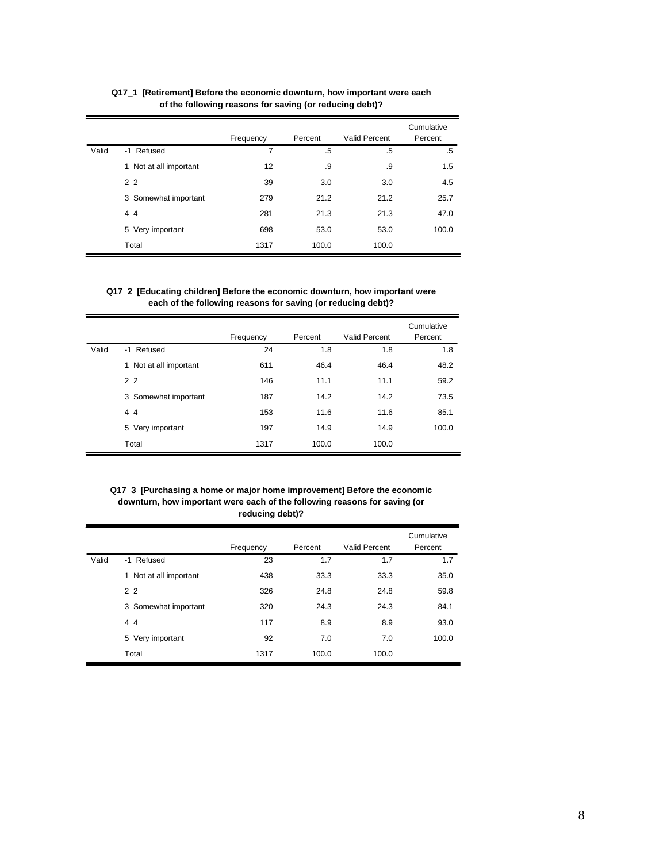|       |                        | Frequency | Percent | Valid Percent | Cumulative<br>Percent |
|-------|------------------------|-----------|---------|---------------|-----------------------|
| Valid | -1 Refused             | 7         | .5      | .5            | .5                    |
|       | 1 Not at all important | 12        | .9      | .9            | 1.5                   |
|       | 2 <sub>2</sub>         | 39        | 3.0     | 3.0           | 4.5                   |
|       | 3 Somewhat important   | 279       | 21.2    | 21.2          | 25.7                  |
|       | 44                     | 281       | 21.3    | 21.3          | 47.0                  |
|       | 5 Very important       | 698       | 53.0    | 53.0          | 100.0                 |
|       | Total                  | 1317      | 100.0   | 100.0         |                       |

**Q17\_1 [Retirement] Before the economic downturn, how important were each of the following reasons for saving (or reducing debt)?**

## **Q17\_2 [Educating children] Before the economic downturn, how important were each of the following reasons for saving (or reducing debt)?**

|       |                        | Frequency | Percent | Valid Percent | Cumulative<br>Percent |
|-------|------------------------|-----------|---------|---------------|-----------------------|
| Valid | -1 Refused             | 24        | 1.8     | 1.8           | 1.8                   |
|       | 1 Not at all important | 611       | 46.4    | 46.4          | 48.2                  |
|       | 2 <sub>2</sub>         | 146       | 11.1    | 11.1          | 59.2                  |
|       | 3 Somewhat important   | 187       | 14.2    | 14.2          | 73.5                  |
|       | 44                     | 153       | 11.6    | 11.6          | 85.1                  |
|       | 5 Very important       | 197       | 14.9    | 14.9          | 100.0                 |
|       | Total                  | 1317      | 100.0   | 100.0         |                       |

**Q17\_3 [Purchasing a home or major home improvement] Before the economic downturn, how important were each of the following reasons for saving (or reducing debt)?**

|       |                        | Frequency | Percent | <b>Valid Percent</b> | Cumulative<br>Percent |
|-------|------------------------|-----------|---------|----------------------|-----------------------|
| Valid | -1 Refused             | 23        | 1.7     | 1.7                  | 1.7                   |
|       | 1 Not at all important | 438       | 33.3    | 33.3                 | 35.0                  |
|       | 2 <sub>2</sub>         | 326       | 24.8    | 24.8                 | 59.8                  |
|       | 3 Somewhat important   | 320       | 24.3    | 24.3                 | 84.1                  |
|       | 44                     | 117       | 8.9     | 8.9                  | 93.0                  |
|       | 5 Very important       | 92        | 7.0     | 7.0                  | 100.0                 |
|       | Total                  | 1317      | 100.0   | 100.0                |                       |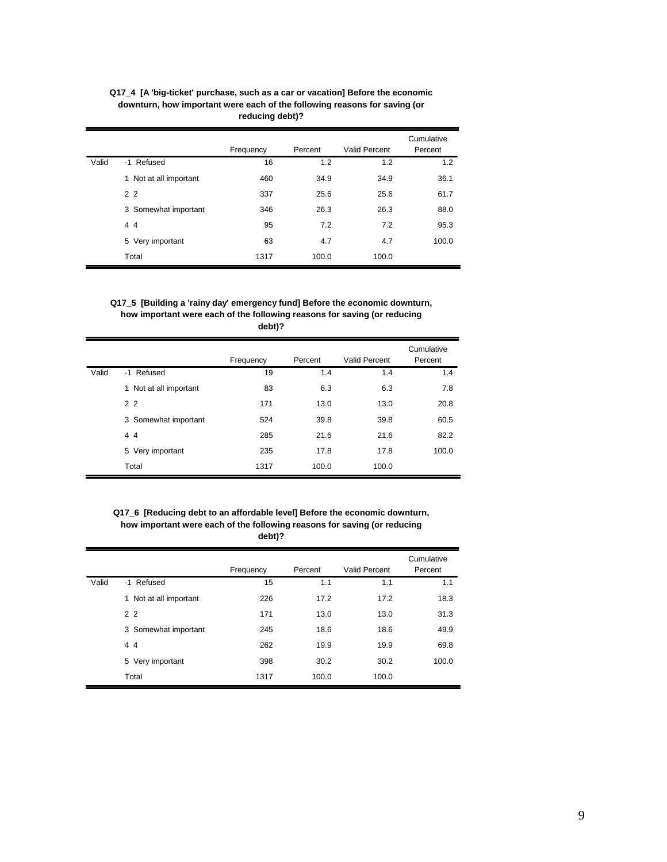|       |                            | Frequency | Percent | <b>Valid Percent</b> | Cumulative<br>Percent |
|-------|----------------------------|-----------|---------|----------------------|-----------------------|
| Valid | -1 Refused                 | 16        | 1.2     | 1.2                  | 1.2                   |
|       | Not at all important<br>1. | 460       | 34.9    | 34.9                 | 36.1                  |
|       | 2 <sub>2</sub>             | 337       | 25.6    | 25.6                 | 61.7                  |
|       | 3 Somewhat important       | 346       | 26.3    | 26.3                 | 88.0                  |
|       | 44                         | 95        | 7.2     | 7.2                  | 95.3                  |
|       | 5 Very important           | 63        | 4.7     | 4.7                  | 100.0                 |
|       | Total                      | 1317      | 100.0   | 100.0                |                       |

## **Q17\_4 [A 'big-ticket' purchase, such as a car or vacation] Before the economic downturn, how important were each of the following reasons for saving (or reducing debt)?**

#### **Q17\_5 [Building a 'rainy day' emergency fund] Before the economic downturn, how important were each of the following reasons for saving (or reducing debt)?**

|       |                        | Frequency | Percent | Valid Percent | Cumulative<br>Percent |
|-------|------------------------|-----------|---------|---------------|-----------------------|
| Valid | -1 Refused             | 19        | 1.4     | 1.4           | 1.4                   |
|       | 1 Not at all important | 83        | 6.3     | 6.3           | 7.8                   |
|       | 2 <sub>2</sub>         | 171       | 13.0    | 13.0          | 20.8                  |
|       | 3 Somewhat important   | 524       | 39.8    | 39.8          | 60.5                  |
|       | 44                     | 285       | 21.6    | 21.6          | 82.2                  |
|       | 5 Very important       | 235       | 17.8    | 17.8          | 100.0                 |
|       | Total                  | 1317      | 100.0   | 100.0         |                       |

#### **Q17\_6 [Reducing debt to an affordable level] Before the economic downturn, how important were each of the following reasons for saving (or reducing debt)?**

|       |                        | Frequency | Percent | Valid Percent | Cumulative<br>Percent |
|-------|------------------------|-----------|---------|---------------|-----------------------|
| Valid | -1 Refused             | 15        | 1.1     | 1.1           | 1.1                   |
|       | 1 Not at all important | 226       | 17.2    | 17.2          | 18.3                  |
|       | 2 <sub>2</sub>         | 171       | 13.0    | 13.0          | 31.3                  |
|       | 3 Somewhat important   | 245       | 18.6    | 18.6          | 49.9                  |
|       | 44                     | 262       | 19.9    | 19.9          | 69.8                  |
|       | 5 Very important       | 398       | 30.2    | 30.2          | 100.0                 |
|       | Total                  | 1317      | 100.0   | 100.0         |                       |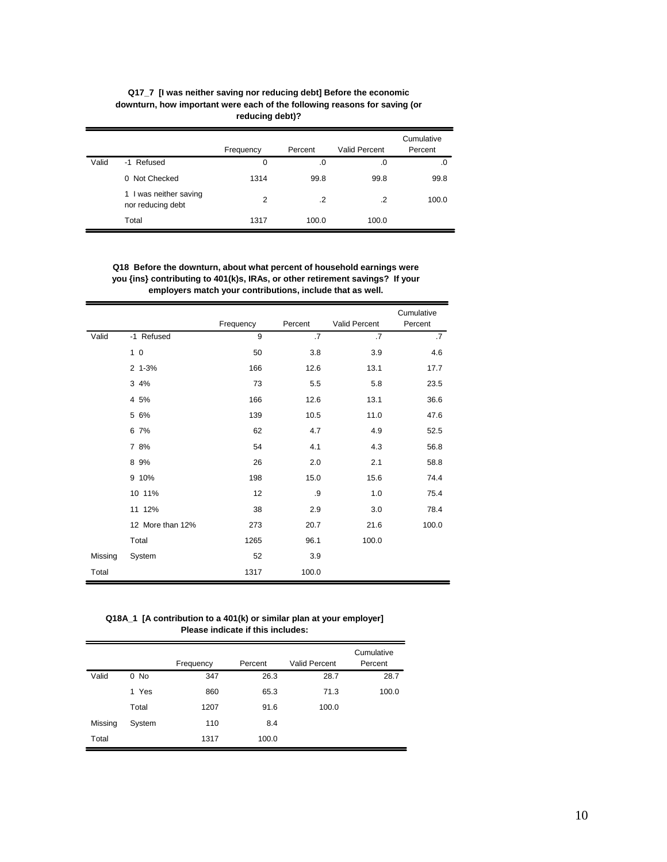|       | downturn, how important were each of the following reasons for saving (or<br>reducing debt)? |                |         |                      |                       |  |  |  |
|-------|----------------------------------------------------------------------------------------------|----------------|---------|----------------------|-----------------------|--|--|--|
|       |                                                                                              | Frequency      | Percent | <b>Valid Percent</b> | Cumulative<br>Percent |  |  |  |
| Valid | -1 Refused                                                                                   | 0              | .0      | .0                   | .0                    |  |  |  |
|       | 0 Not Checked                                                                                | 1314           | 99.8    | 99.8                 | 99.8                  |  |  |  |
|       | 1 I was neither saving<br>nor reducing debt                                                  | $\overline{2}$ | $\cdot$ | .2                   | 100.0                 |  |  |  |
|       | Total                                                                                        | 1317           | 100.0   | 100.0                |                       |  |  |  |

**Q17\_7 [I was neither saving nor reducing debt] Before the economic downturn, how important were each of the following reasons for saving (or**

**Q18 Before the downturn, about what percent of household earnings were you {ins} contributing to 401(k)s, IRAs, or other retirement savings? If your employers match your contributions, include that as well.**

|         |                  | Frequency | Percent   | Valid Percent | Cumulative<br>Percent |
|---------|------------------|-----------|-----------|---------------|-----------------------|
| Valid   | -1 Refused       | 9         | $\cdot$ 7 | .7            | $\overline{.7}$       |
|         | 1 <sub>0</sub>   | 50        | 3.8       | 3.9           | 4.6                   |
|         | $2 1 - 3%$       | 166       | 12.6      | 13.1          | 17.7                  |
|         | 3 4%             | 73        | 5.5       | 5.8           | 23.5                  |
|         | 4 5%             | 166       | 12.6      | 13.1          | 36.6                  |
|         | 5 6%             | 139       | 10.5      | 11.0          | 47.6                  |
|         | 6 7%             | 62        | 4.7       | 4.9           | 52.5                  |
|         | 7 8%             | 54        | 4.1       | 4.3           | 56.8                  |
|         | 8 9%             | 26        | 2.0       | 2.1           | 58.8                  |
|         | 9 10%            | 198       | 15.0      | 15.6          | 74.4                  |
|         | 10 11%           | 12        | .9        | 1.0           | 75.4                  |
|         | 11 12%           | 38        | 2.9       | 3.0           | 78.4                  |
|         | 12 More than 12% | 273       | 20.7      | 21.6          | 100.0                 |
|         | Total            | 1265      | 96.1      | 100.0         |                       |
| Missing | System           | 52        | 3.9       |               |                       |
| Total   |                  | 1317      | 100.0     |               |                       |

**Q18A\_1 [A contribution to a 401(k) or similar plan at your employer] Please indicate if this includes:**

|         |        |           |         |                      | Cumulative |
|---------|--------|-----------|---------|----------------------|------------|
|         |        | Frequency | Percent | <b>Valid Percent</b> | Percent    |
| Valid   | $0$ No | 347       | 26.3    | 28.7                 | 28.7       |
|         | 1 Yes  | 860       | 65.3    | 71.3                 | 100.0      |
|         | Total  | 1207      | 91.6    | 100.0                |            |
| Missing | System | 110       | 8.4     |                      |            |
| Total   |        | 1317      | 100.0   |                      |            |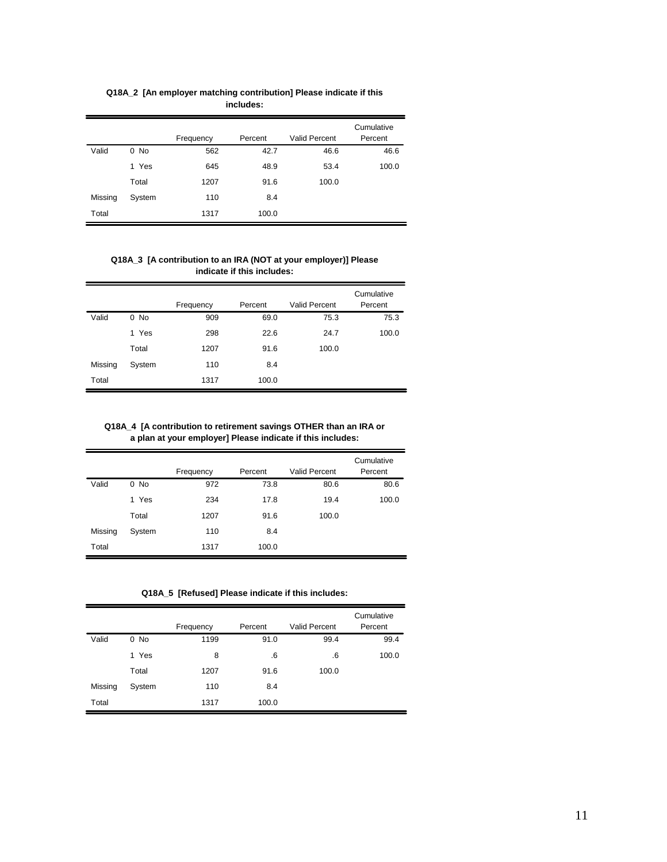|         |        | Frequency | Percent | <b>Valid Percent</b> | Cumulative<br>Percent |
|---------|--------|-----------|---------|----------------------|-----------------------|
| Valid   | $0$ No | 562       | 42.7    | 46.6                 | 46.6                  |
|         | 1 Yes  | 645       | 48.9    | 53.4                 | 100.0                 |
|         | Total  | 1207      | 91.6    | 100.0                |                       |
| Missing | System | 110       | 8.4     |                      |                       |
| Total   |        | 1317      | 100.0   |                      |                       |

**Q18A\_2 [An employer matching contribution] Please indicate if this includes:**

**Q18A\_3 [A contribution to an IRA (NOT at your employer)] Please indicate if this includes:**

|         |        |           |         |                      | Cumulative |
|---------|--------|-----------|---------|----------------------|------------|
|         |        | Frequency | Percent | <b>Valid Percent</b> | Percent    |
| Valid   | $0$ No | 909       | 69.0    | 75.3                 | 75.3       |
|         | 1 Yes  | 298       | 22.6    | 24.7                 | 100.0      |
|         | Total  | 1207      | 91.6    | 100.0                |            |
| Missing | System | 110       | 8.4     |                      |            |
| Total   |        | 1317      | 100.0   |                      |            |

**Q18A\_4 [A contribution to retirement savings OTHER than an IRA or a plan at your employer] Please indicate if this includes:**

|         |        |           |         |                      | Cumulative |
|---------|--------|-----------|---------|----------------------|------------|
|         |        | Frequency | Percent | <b>Valid Percent</b> | Percent    |
| Valid   | $0$ No | 972       | 73.8    | 80.6                 | 80.6       |
|         | 1 Yes  | 234       | 17.8    | 19.4                 | 100.0      |
|         | Total  | 1207      | 91.6    | 100.0                |            |
| Missing | System | 110       | 8.4     |                      |            |
| Total   |        | 1317      | 100.0   |                      |            |

**Q18A\_5 [Refused] Please indicate if this includes:**

|         |        |           |         |                      | Cumulative |
|---------|--------|-----------|---------|----------------------|------------|
|         |        | Frequency | Percent | <b>Valid Percent</b> | Percent    |
| Valid   | $0$ No | 1199      | 91.0    | 99.4                 | 99.4       |
|         | 1 Yes  | 8         | .6      | .6                   | 100.0      |
|         | Total  | 1207      | 91.6    | 100.0                |            |
| Missing | System | 110       | 8.4     |                      |            |
| Total   |        | 1317      | 100.0   |                      |            |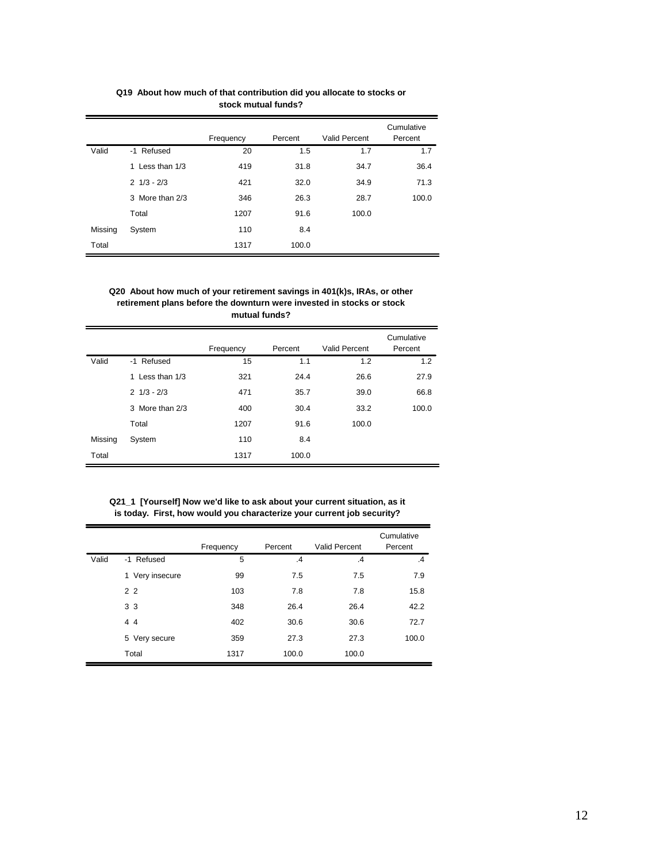|         |                               | Frequency | Percent | Valid Percent | Cumulative<br>Percent |
|---------|-------------------------------|-----------|---------|---------------|-----------------------|
| Valid   | -1 Refused                    | 20        | 1.5     | 1.7           | 1.7                   |
|         | 1 Less than 1/3               | 419       | 31.8    | 34.7          | 36.4                  |
|         | $2 \frac{1}{3} - \frac{2}{3}$ | 421       | 32.0    | 34.9          | 71.3                  |
|         | 3 More than 2/3               | 346       | 26.3    | 28.7          | 100.0                 |
|         | Total                         | 1207      | 91.6    | 100.0         |                       |
| Missing | System                        | 110       | 8.4     |               |                       |
| Total   |                               | 1317      | 100.0   |               |                       |

**Q19 About how much of that contribution did you allocate to stocks or stock mutual funds?**

#### **Q20 About how much of your retirement savings in 401(k)s, IRAs, or other retirement plans before the downturn were invested in stocks or stock mutual funds?**

|         |                               | Frequency | Percent | <b>Valid Percent</b> | Cumulative<br>Percent |
|---------|-------------------------------|-----------|---------|----------------------|-----------------------|
| Valid   | -1 Refused                    | 15        | 1.1     | 1.2                  | 1.2                   |
|         | 1 Less than 1/3               | 321       | 24.4    | 26.6                 | 27.9                  |
|         | $2 \frac{1}{3} - \frac{2}{3}$ | 471       | 35.7    | 39.0                 | 66.8                  |
|         | 3 More than 2/3               | 400       | 30.4    | 33.2                 | 100.0                 |
|         | Total                         | 1207      | 91.6    | 100.0                |                       |
| Missing | System                        | 110       | 8.4     |                      |                       |
| Total   |                               | 1317      | 100.0   |                      |                       |

**Q21\_1 [Yourself] Now we'd like to ask about your current situation, as it is today. First, how would you characterize your current job security?**

|       |                    | Frequency | Percent       | <b>Valid Percent</b> | Cumulative<br>Percent |
|-------|--------------------|-----------|---------------|----------------------|-----------------------|
| Valid | -1 Refused         | 5         | $\mathcal{A}$ | $\cdot$              | $\cdot$ 4             |
|       | Very insecure<br>1 | 99        | 7.5           | 7.5                  | 7.9                   |
|       | 2 <sub>2</sub>     | 103       | 7.8           | 7.8                  | 15.8                  |
|       | 3 <sub>3</sub>     | 348       | 26.4          | 26.4                 | 42.2                  |
|       | 44                 | 402       | 30.6          | 30.6                 | 72.7                  |
|       | 5 Very secure      | 359       | 27.3          | 27.3                 | 100.0                 |
|       | Total              | 1317      | 100.0         | 100.0                |                       |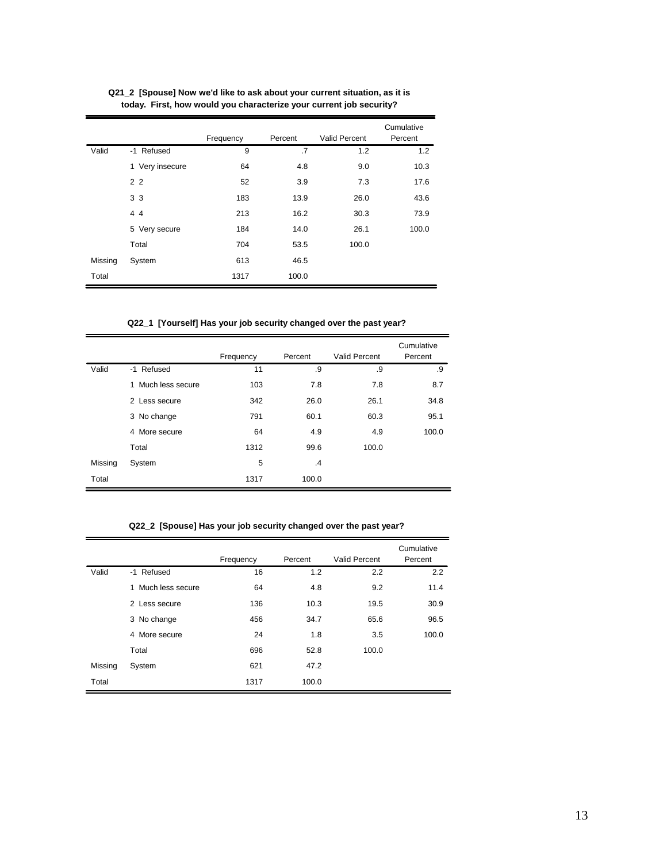|         |                 | Frequency | Percent | <b>Valid Percent</b> | Cumulative<br>Percent |
|---------|-----------------|-----------|---------|----------------------|-----------------------|
| Valid   | -1 Refused      | 9         | .7      | 1.2                  | 1.2                   |
|         | 1 Very insecure | 64        | 4.8     | 9.0                  | 10.3                  |
|         | 2 <sub>2</sub>  | 52        | 3.9     | 7.3                  | 17.6                  |
|         | 3 3             | 183       | 13.9    | 26.0                 | 43.6                  |
|         | 44              | 213       | 16.2    | 30.3                 | 73.9                  |
|         | 5 Very secure   | 184       | 14.0    | 26.1                 | 100.0                 |
|         | Total           | 704       | 53.5    | 100.0                |                       |
| Missing | System          | 613       | 46.5    |                      |                       |
| Total   |                 | 1317      | 100.0   |                      |                       |

**Q21\_2 [Spouse] Now we'd like to ask about your current situation, as it is today. First, how would you characterize your current job security?**

**Q22\_1 [Yourself] Has your job security changed over the past year?**

|         |                    | Frequency | Percent | Valid Percent | Cumulative<br>Percent |
|---------|--------------------|-----------|---------|---------------|-----------------------|
| Valid   | -1 Refused         | 11        | .9      | .9            | .9                    |
|         | 1 Much less secure | 103       | 7.8     | 7.8           | 8.7                   |
|         | 2 Less secure      | 342       | 26.0    | 26.1          | 34.8                  |
|         | 3 No change        | 791       | 60.1    | 60.3          | 95.1                  |
|         | More secure<br>4   | 64        | 4.9     | 4.9           | 100.0                 |
|         | Total              | 1312      | 99.6    | 100.0         |                       |
| Missing | System             | 5         | $\cdot$ |               |                       |
| Total   |                    | 1317      | 100.0   |               |                       |

**Q22\_2 [Spouse] Has your job security changed over the past year?**

|         |                    | Frequency | Percent | Valid Percent | Cumulative<br>Percent |
|---------|--------------------|-----------|---------|---------------|-----------------------|
| Valid   | -1 Refused         | 16        | 1.2     | 2.2           | 2.2                   |
|         | 1 Much less secure | 64        | 4.8     | 9.2           | 11.4                  |
|         | 2 Less secure      | 136       | 10.3    | 19.5          | 30.9                  |
|         | 3 No change        | 456       | 34.7    | 65.6          | 96.5                  |
|         | 4 More secure      | 24        | 1.8     | 3.5           | 100.0                 |
|         | Total              | 696       | 52.8    | 100.0         |                       |
| Missing | System             | 621       | 47.2    |               |                       |
| Total   |                    | 1317      | 100.0   |               |                       |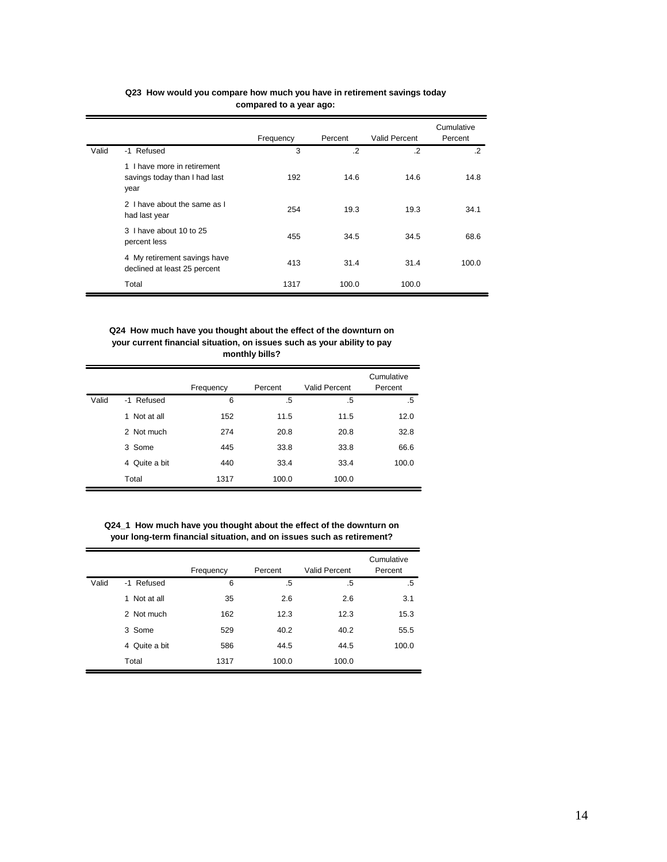|       |                                                                      | Frequency | Percent | <b>Valid Percent</b> | Cumulative<br>Percent |
|-------|----------------------------------------------------------------------|-----------|---------|----------------------|-----------------------|
| Valid | -1 Refused                                                           | 3         | $\cdot$ | $\cdot$              | $\cdot$               |
|       | 1 I have more in retirement<br>savings today than I had last<br>year | 192       | 14.6    | 14.6                 | 14.8                  |
|       | 2 I have about the same as I<br>had last year                        | 254       | 19.3    | 19.3                 | 34.1                  |
|       | 3 I have about 10 to 25<br>percent less                              | 455       | 34.5    | 34.5                 | 68.6                  |
|       | 4 My retirement savings have<br>declined at least 25 percent         | 413       | 31.4    | 31.4                 | 100.0                 |
|       | Total                                                                | 1317      | 100.0   | 100.0                |                       |

## **Q23 How would you compare how much you have in retirement savings today compared to a year ago:**

**Q24 How much have you thought about the effect of the downturn on your current financial situation, on issues such as your ability to pay monthly bills?**

|       |               |           |         |               | Cumulative |
|-------|---------------|-----------|---------|---------------|------------|
|       |               | Frequency | Percent | Valid Percent | Percent    |
| Valid | -1 Refused    | 6         | .5      | .5            | .5         |
|       | 1 Not at all  | 152       | 11.5    | 11.5          | 12.0       |
|       | 2 Not much    | 274       | 20.8    | 20.8          | 32.8       |
|       | 3 Some        | 445       | 33.8    | 33.8          | 66.6       |
|       | 4 Quite a bit | 440       | 33.4    | 33.4          | 100.0      |
|       | Total         | 1317      | 100.0   | 100.0         |            |

**Q24\_1 How much have you thought about the effect of the downturn on your long-term financial situation, and on issues such as retirement?**

|       |               | Frequency | Percent | Valid Percent | Cumulative<br>Percent |
|-------|---------------|-----------|---------|---------------|-----------------------|
| Valid | -1 Refused    | 6         | .5      | .5            | .5                    |
|       | 1 Not at all  | 35        | 2.6     | 2.6           | 3.1                   |
|       | 2 Not much    | 162       | 12.3    | 12.3          | 15.3                  |
|       | 3 Some        | 529       | 40.2    | 40.2          | 55.5                  |
|       | 4 Quite a bit | 586       | 44.5    | 44.5          | 100.0                 |
|       | Total         | 1317      | 100.0   | 100.0         |                       |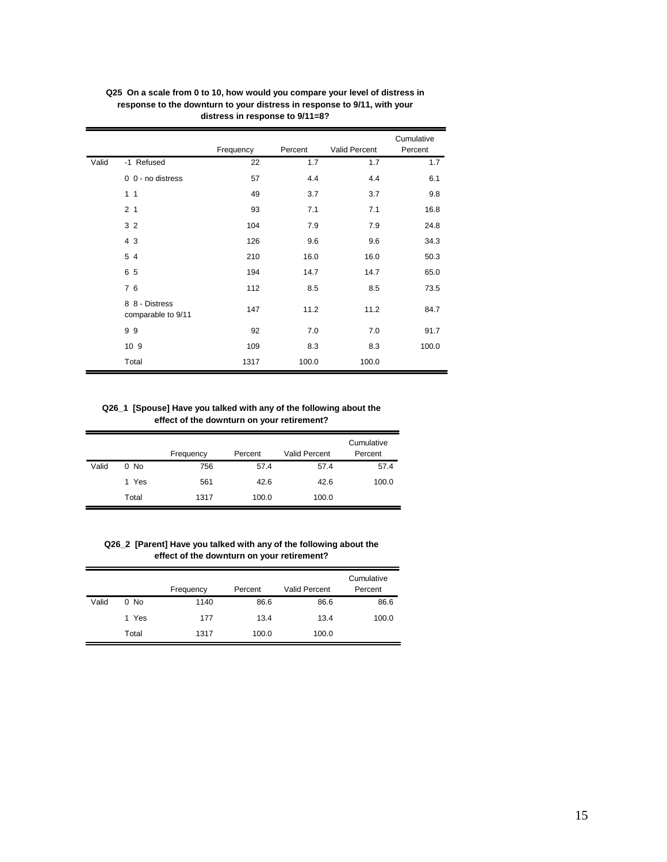|       |                                      | Frequency | Percent | Valid Percent | Cumulative<br>Percent |
|-------|--------------------------------------|-----------|---------|---------------|-----------------------|
| Valid | -1 Refused                           | 22        | 1.7     | 1.7           | 1.7                   |
|       | 0 0 - no distress                    | 57        | 4.4     | 4.4           | 6.1                   |
|       | 1 <sub>1</sub>                       | 49        | 3.7     | 3.7           | 9.8                   |
|       | 2 <sub>1</sub>                       | 93        | 7.1     | 7.1           | 16.8                  |
|       | 3 <sub>2</sub>                       | 104       | 7.9     | 7.9           | 24.8                  |
|       | 4 3                                  | 126       | 9.6     | 9.6           | 34.3                  |
|       | 5 4                                  | 210       | 16.0    | 16.0          | 50.3                  |
|       | 65                                   | 194       | 14.7    | 14.7          | 65.0                  |
|       | 76                                   | 112       | 8.5     | 8.5           | 73.5                  |
|       | 8 8 - Distress<br>comparable to 9/11 | 147       | 11.2    | 11.2          | 84.7                  |
|       | 99                                   | 92        | 7.0     | 7.0           | 91.7                  |
|       | 10 9                                 | 109       | 8.3     | 8.3           | 100.0                 |
|       | Total                                | 1317      | 100.0   | 100.0         |                       |

**Q25 On a scale from 0 to 10, how would you compare your level of distress in response to the downturn to your distress in response to 9/11, with your distress in response to 9/11=8?**

**Q26\_1 [Spouse] Have you talked with any of the following about the effect of the downturn on your retirement?**

|       |        | Frequency | Percent | <b>Valid Percent</b> | Cumulative<br>Percent |
|-------|--------|-----------|---------|----------------------|-----------------------|
| Valid | $0$ No | 756       | 57.4    | 57.4                 | 57.4                  |
|       | 1 Yes  | 561       | 42.6    | 42.6                 | 100.0                 |
|       | Total  | 1317      | 100.0   | 100.0                |                       |

**Q26\_2 [Parent] Have you talked with any of the following about the effect of the downturn on your retirement?**

|       |        | Frequency | Percent | <b>Valid Percent</b> | Cumulative<br>Percent |
|-------|--------|-----------|---------|----------------------|-----------------------|
| Valid | $0$ No | 1140      | 86.6    | 86.6                 | 86.6                  |
|       | 1 Yes  | 177       | 13.4    | 13.4                 | 100.0                 |
|       | Total  | 1317      | 100.0   | 100.0                |                       |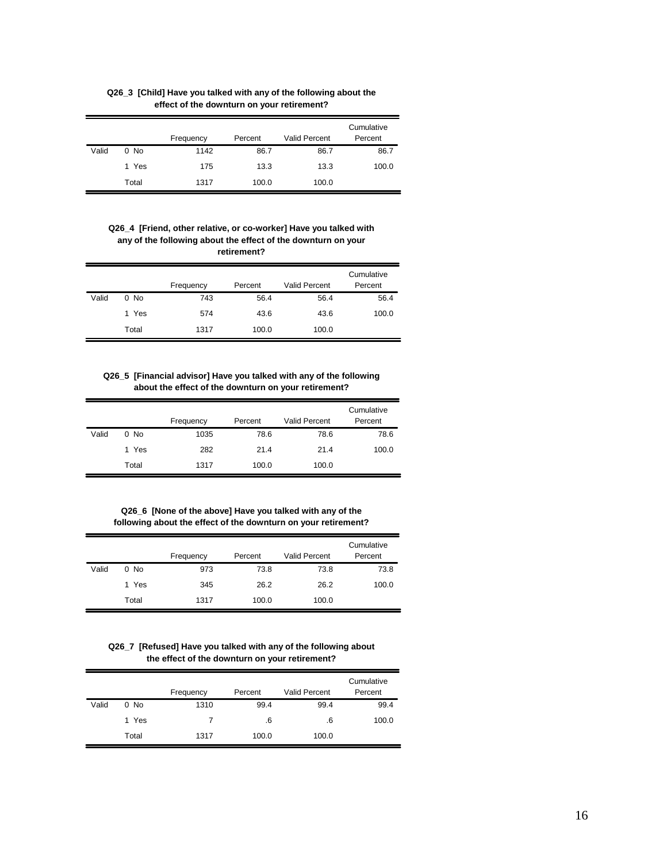|       |       |           |         |                      | Cumulative |
|-------|-------|-----------|---------|----------------------|------------|
|       |       | Frequency | Percent | <b>Valid Percent</b> | Percent    |
| Valid | 0 No  | 1142      | 86.7    | 86.7                 | 86.7       |
|       | 1 Yes | 175       | 13.3    | 13.3                 | 100.0      |
|       | Total | 1317      | 100.0   | 100.0                |            |

**Q26\_3 [Child] Have you talked with any of the following about the effect of the downturn on your retirement?**

#### **Q26\_4 [Friend, other relative, or co-worker] Have you talked with any of the following about the effect of the downturn on your retirement?**

|       |        | Frequency | Percent | <b>Valid Percent</b> | Cumulative<br>Percent |
|-------|--------|-----------|---------|----------------------|-----------------------|
| Valid | $0$ No | 743       | 56.4    | 56.4                 | 56.4                  |
|       | 1 Yes  | 574       | 43.6    | 43.6                 | 100.0                 |
|       | Total  | 1317      | 100.0   | 100.0                |                       |

#### **Q26\_5 [Financial advisor] Have you talked with any of the following about the effect of the downturn on your retirement?**

|       |        | Frequency | Percent | <b>Valid Percent</b> | Cumulative<br>Percent |
|-------|--------|-----------|---------|----------------------|-----------------------|
| Valid | $0$ No | 1035      | 78.6    | 78.6                 | 78.6                  |
|       | 1 Yes  | 282       | 21.4    | 21.4                 | 100.0                 |
|       | Total  | 1317      | 100.0   | 100.0                |                       |

**Q26\_6 [None of the above] Have you talked with any of the following about the effect of the downturn on your retirement?**

|       |        | Frequency | Percent | <b>Valid Percent</b> | Cumulative<br>Percent |
|-------|--------|-----------|---------|----------------------|-----------------------|
| Valid | $0$ No | 973       | 73.8    | 73.8                 | 73.8                  |
|       | 1 Yes  | 345       | 26.2    | 26.2                 | 100.0                 |
|       | Total  | 1317      | 100.0   | 100.0                |                       |

**Q26\_7 [Refused] Have you talked with any of the following about the effect of the downturn on your retirement?**

|       |        | Frequency | Percent | <b>Valid Percent</b> | Cumulative<br>Percent |
|-------|--------|-----------|---------|----------------------|-----------------------|
| Valid | $0$ No | 1310      | 99.4    | 99.4                 | 99.4                  |
|       | 1 Yes  | 7         | .6      | .6                   | 100.0                 |
|       | Total  | 1317      | 100.0   | 100.0                |                       |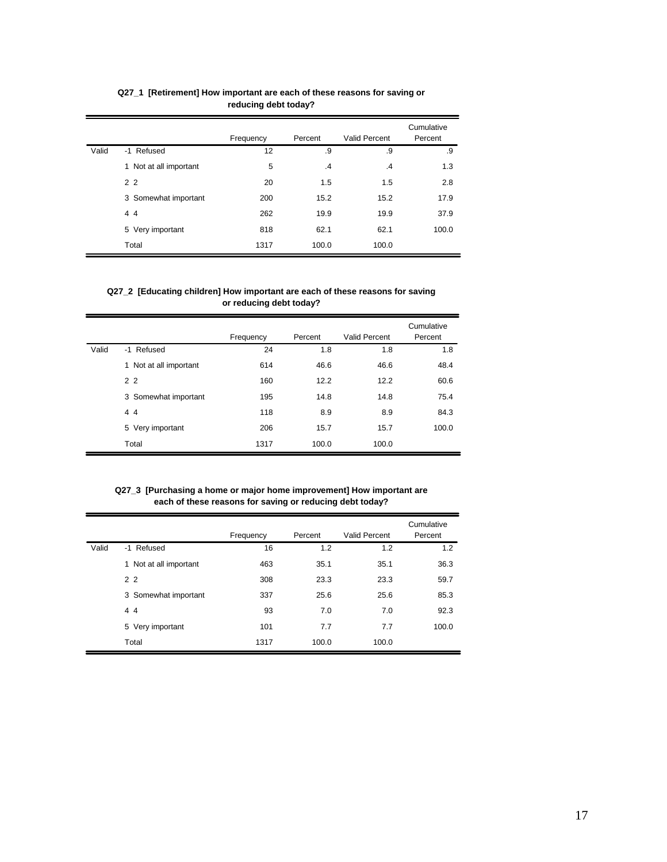|       |                        | Frequency | Percent       | Valid Percent | Cumulative<br>Percent |
|-------|------------------------|-----------|---------------|---------------|-----------------------|
| Valid | -1 Refused             | 12        | .9            | .9            | .9                    |
|       | 1 Not at all important | 5         | $\mathcal{A}$ | $\cdot$       | 1.3                   |
|       | 2 <sub>2</sub>         | 20        | 1.5           | 1.5           | 2.8                   |
|       | 3 Somewhat important   | 200       | 15.2          | 15.2          | 17.9                  |
|       | 44                     | 262       | 19.9          | 19.9          | 37.9                  |
|       | 5 Very important       | 818       | 62.1          | 62.1          | 100.0                 |
|       | Total                  | 1317      | 100.0         | 100.0         |                       |

**Q27\_1 [Retirement] How important are each of these reasons for saving or reducing debt today?**

## **Q27\_2 [Educating children] How important are each of these reasons for saving or reducing debt today?**

|       |                           | Frequency | Percent | Valid Percent | Cumulative<br>Percent |
|-------|---------------------------|-----------|---------|---------------|-----------------------|
| Valid | -1 Refused                | 24        | 1.8     | 1.8           | 1.8                   |
|       | Not at all important<br>1 | 614       | 46.6    | 46.6          | 48.4                  |
|       | 2 <sub>2</sub>            | 160       | 12.2    | 12.2          | 60.6                  |
|       | 3 Somewhat important      | 195       | 14.8    | 14.8          | 75.4                  |
|       | 44                        | 118       | 8.9     | 8.9           | 84.3                  |
|       | 5 Very important          | 206       | 15.7    | 15.7          | 100.0                 |
|       | Total                     | 1317      | 100.0   | 100.0         |                       |

**Q27\_3 [Purchasing a home or major home improvement] How important are each of these reasons for saving or reducing debt today?**

|       |                        | Frequency | Percent | Valid Percent | Cumulative<br>Percent |
|-------|------------------------|-----------|---------|---------------|-----------------------|
| Valid | -1 Refused             | 16        | 1.2     | 1.2           | 1.2                   |
|       | 1 Not at all important | 463       | 35.1    | 35.1          | 36.3                  |
|       | 2 <sub>2</sub>         | 308       | 23.3    | 23.3          | 59.7                  |
|       | 3 Somewhat important   | 337       | 25.6    | 25.6          | 85.3                  |
|       | 44                     | 93        | 7.0     | 7.0           | 92.3                  |
|       | 5 Very important       | 101       | 7.7     | 7.7           | 100.0                 |
|       | Total                  | 1317      | 100.0   | 100.0         |                       |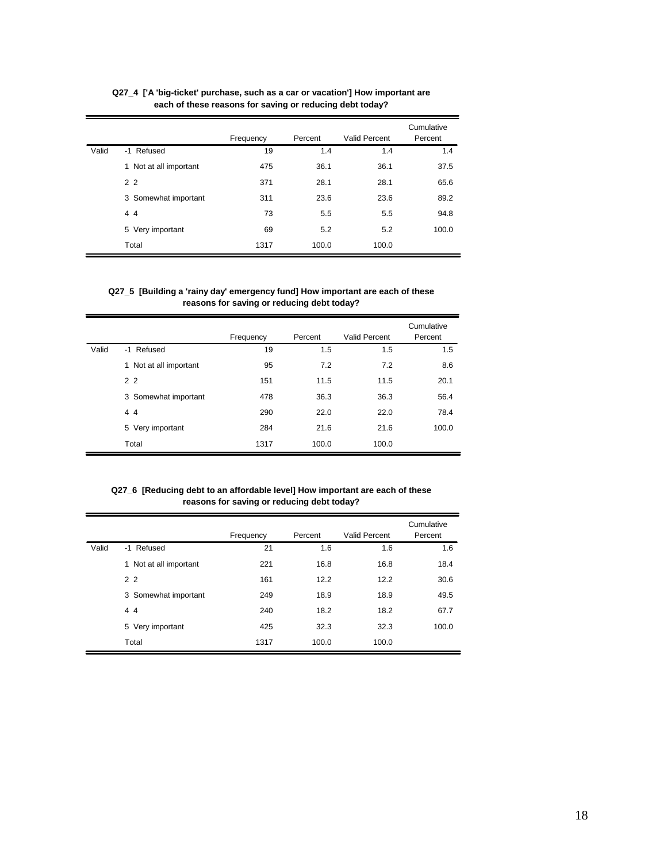|       |                        | Frequency | Percent | Valid Percent | Cumulative<br>Percent |
|-------|------------------------|-----------|---------|---------------|-----------------------|
| Valid | -1 Refused             | 19        | 1.4     | 1.4           | 1.4                   |
|       | 1 Not at all important | 475       | 36.1    | 36.1          | 37.5                  |
|       | 2 <sub>2</sub>         | 371       | 28.1    | 28.1          | 65.6                  |
|       | 3 Somewhat important   | 311       | 23.6    | 23.6          | 89.2                  |
|       | 44                     | 73        | 5.5     | 5.5           | 94.8                  |
|       | 5 Very important       | 69        | 5.2     | 5.2           | 100.0                 |
|       | Total                  | 1317      | 100.0   | 100.0         |                       |

**Q27\_4 ['A 'big-ticket' purchase, such as a car or vacation'] How important are each of these reasons for saving or reducing debt today?**

## **Q27\_5 [Building a 'rainy day' emergency fund] How important are each of these reasons for saving or reducing debt today?**

|       |                            | Frequency | Percent | Valid Percent | Cumulative<br>Percent |
|-------|----------------------------|-----------|---------|---------------|-----------------------|
| Valid | -1 Refused                 | 19        | 1.5     | 1.5           | 1.5                   |
|       | Not at all important<br>1. | 95        | 7.2     | 7.2           | 8.6                   |
|       | 2 <sub>2</sub>             | 151       | 11.5    | 11.5          | 20.1                  |
|       | 3 Somewhat important       | 478       | 36.3    | 36.3          | 56.4                  |
|       | 44                         | 290       | 22.0    | 22.0          | 78.4                  |
|       | 5 Very important           | 284       | 21.6    | 21.6          | 100.0                 |
|       | Total                      | 1317      | 100.0   | 100.0         |                       |

## **Q27\_6 [Reducing debt to an affordable level] How important are each of these reasons for saving or reducing debt today?**

|       |                        | Frequency | Percent | Valid Percent | Cumulative<br>Percent |
|-------|------------------------|-----------|---------|---------------|-----------------------|
| Valid | -1 Refused             | 21        | 1.6     | 1.6           | 1.6                   |
|       | 1 Not at all important | 221       | 16.8    | 16.8          | 18.4                  |
|       | 2 <sub>2</sub>         | 161       | 12.2    | 12.2          | 30.6                  |
|       | 3 Somewhat important   | 249       | 18.9    | 18.9          | 49.5                  |
|       | 44                     | 240       | 18.2    | 18.2          | 67.7                  |
|       | 5 Very important       | 425       | 32.3    | 32.3          | 100.0                 |
|       | Total                  | 1317      | 100.0   | 100.0         |                       |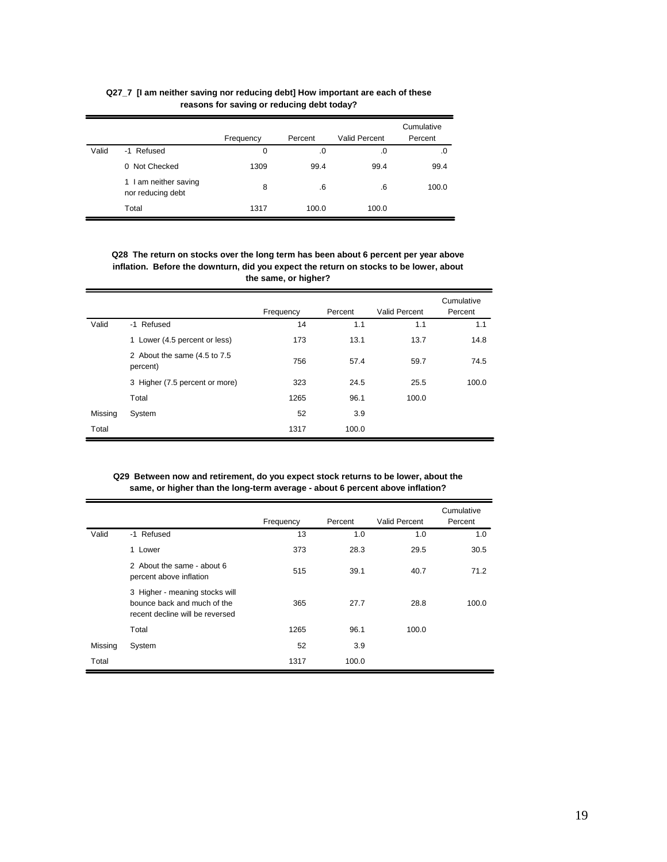|       |                                               | Frequency   | Percent | <b>Valid Percent</b> | Cumulative<br>Percent |
|-------|-----------------------------------------------|-------------|---------|----------------------|-----------------------|
| Valid | -1 Refused                                    | $\mathbf 0$ | .0      | .0                   | .0                    |
|       | 0 Not Checked                                 | 1309        | 99.4    | 99.4                 | 99.4                  |
|       | I am neither saving<br>1<br>nor reducing debt | 8           | .6      | .6                   | 100.0                 |
|       | Total                                         | 1317        | 100.0   | 100.0                |                       |

# **Q27\_7 [I am neither saving nor reducing debt] How important are each of these reasons for saving or reducing debt today?**

**Q28 The return on stocks over the long term has been about 6 percent per year above inflation. Before the downturn, did you expect the return on stocks to be lower, about the same, or higher?**

|         |                                           | Frequency | Percent | Valid Percent | Cumulative<br>Percent |
|---------|-------------------------------------------|-----------|---------|---------------|-----------------------|
| Valid   | -1 Refused                                | 14        | 1.1     | 1.1           | 1.1                   |
|         | 1 Lower (4.5 percent or less)             | 173       | 13.1    | 13.7          | 14.8                  |
|         | 2 About the same (4.5 to 7.5)<br>percent) | 756       | 57.4    | 59.7          | 74.5                  |
|         | 3 Higher (7.5 percent or more)            | 323       | 24.5    | 25.5          | 100.0                 |
|         | Total                                     | 1265      | 96.1    | 100.0         |                       |
| Missing | System                                    | 52        | 3.9     |               |                       |
| Total   |                                           | 1317      | 100.0   |               |                       |

#### **Q29 Between now and retirement, do you expect stock returns to be lower, about the same, or higher than the long-term average - about 6 percent above inflation?**

|         |                                                                                                  | Frequency | Percent | Valid Percent | Cumulative<br>Percent |
|---------|--------------------------------------------------------------------------------------------------|-----------|---------|---------------|-----------------------|
| Valid   | -1 Refused                                                                                       | 13        | 1.0     | 1.0           | 1.0                   |
|         | 1 Lower                                                                                          | 373       | 28.3    | 29.5          | 30.5                  |
|         | 2 About the same - about 6<br>percent above inflation                                            | 515       | 39.1    | 40.7          | 71.2                  |
|         | 3 Higher - meaning stocks will<br>bounce back and much of the<br>recent decline will be reversed | 365       | 27.7    | 28.8          | 100.0                 |
|         | Total                                                                                            | 1265      | 96.1    | 100.0         |                       |
| Missing | System                                                                                           | 52        | 3.9     |               |                       |
| Total   |                                                                                                  | 1317      | 100.0   |               |                       |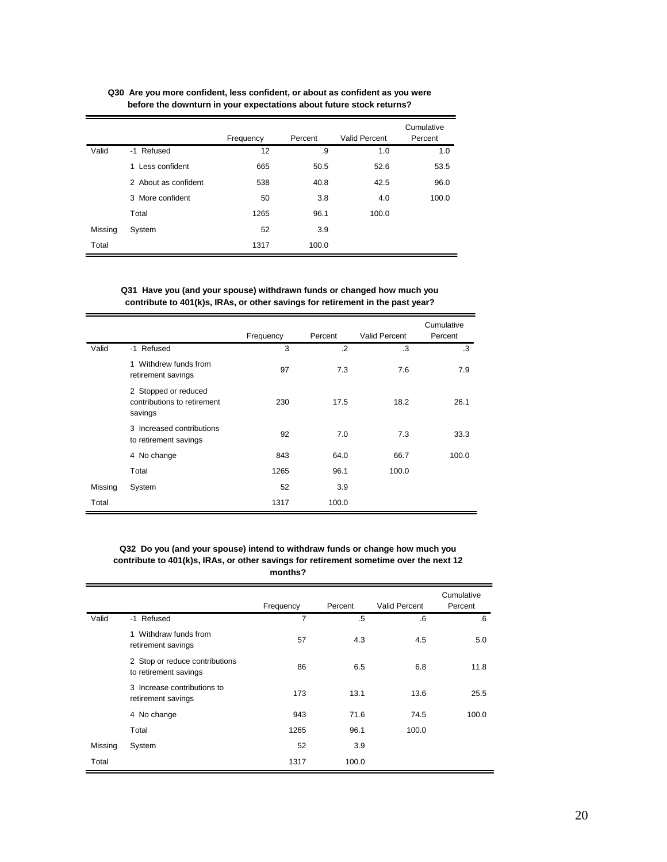|         |                      | Frequency | Percent | Valid Percent | Cumulative<br>Percent |
|---------|----------------------|-----------|---------|---------------|-----------------------|
| Valid   | -1 Refused           | 12        | .9      | 1.0           | 1.0                   |
|         | 1 Less confident     | 665       | 50.5    | 52.6          | 53.5                  |
|         | 2 About as confident | 538       | 40.8    | 42.5          | 96.0                  |
|         | 3 More confident     | 50        | 3.8     | 4.0           | 100.0                 |
|         | Total                | 1265      | 96.1    | 100.0         |                       |
| Missing | System               | 52        | 3.9     |               |                       |
| Total   |                      | 1317      | 100.0   |               |                       |

**Q30 Are you more confident, less confident, or about as confident as you were before the downturn in your expectations about future stock returns?**

**Q31 Have you (and your spouse) withdrawn funds or changed how much you contribute to 401(k)s, IRAs, or other savings for retirement in the past year?**

|         |                                                                | Frequency | Percent | Valid Percent | Cumulative<br>Percent |
|---------|----------------------------------------------------------------|-----------|---------|---------------|-----------------------|
| Valid   | -1 Refused                                                     | 3         | $\cdot$ | .3            | .3                    |
|         | 1 Withdrew funds from<br>retirement savings                    | 97        | 7.3     | 7.6           | 7.9                   |
|         | 2 Stopped or reduced<br>contributions to retirement<br>savings | 230       | 17.5    | 18.2          | 26.1                  |
|         | 3 Increased contributions<br>to retirement savings             | 92        | 7.0     | 7.3           | 33.3                  |
|         | 4 No change                                                    | 843       | 64.0    | 66.7          | 100.0                 |
|         | Total                                                          | 1265      | 96.1    | 100.0         |                       |
| Missing | System                                                         | 52        | 3.9     |               |                       |
| Total   |                                                                | 1317      | 100.0   |               |                       |

**Q32 Do you (and your spouse) intend to withdraw funds or change how much you contribute to 401(k)s, IRAs, or other savings for retirement sometime over the next 12 months?**

|         |                                                         | Frequency      | Percent | Valid Percent | Cumulative<br>Percent |
|---------|---------------------------------------------------------|----------------|---------|---------------|-----------------------|
| Valid   | -1 Refused                                              | $\overline{7}$ | $.5\,$  | .6            | .6                    |
|         | 1 Withdraw funds from<br>retirement savings             | 57             | 4.3     | 4.5           | 5.0                   |
|         | 2 Stop or reduce contributions<br>to retirement savings | 86             | 6.5     | 6.8           | 11.8                  |
|         | 3 Increase contributions to<br>retirement savings       | 173            | 13.1    | 13.6          | 25.5                  |
|         | 4 No change                                             | 943            | 71.6    | 74.5          | 100.0                 |
|         | Total                                                   | 1265           | 96.1    | 100.0         |                       |
| Missing | System                                                  | 52             | 3.9     |               |                       |
| Total   |                                                         | 1317           | 100.0   |               |                       |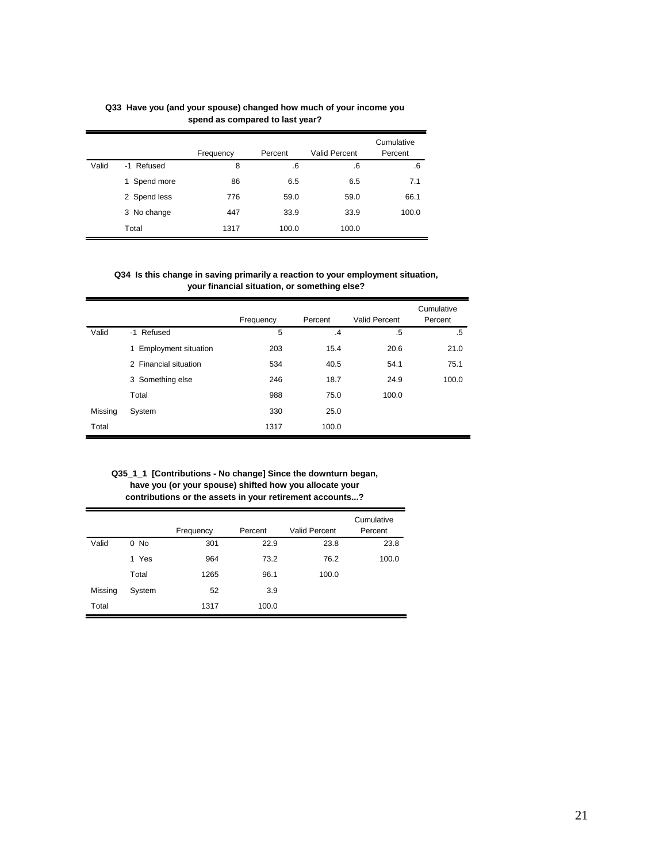|       |                 | Frequency | Percent | <b>Valid Percent</b> | Cumulative<br>Percent |
|-------|-----------------|-----------|---------|----------------------|-----------------------|
| Valid | -1 Refused      | 8         | .6      | .6                   | .6                    |
|       | Spend more<br>1 | 86        | 6.5     | 6.5                  | 7.1                   |
|       | 2 Spend less    | 776       | 59.0    | 59.0                 | 66.1                  |
|       | 3 No change     | 447       | 33.9    | 33.9                 | 100.0                 |
|       | Total           | 1317      | 100.0   | 100.0                |                       |

#### **Q33 Have you (and your spouse) changed how much of your income you spend as compared to last year?**

## **Q34 Is this change in saving primarily a reaction to your employment situation, your financial situation, or something else?**

|         |                        | Frequency | Percent | Valid Percent | Cumulative<br>Percent |
|---------|------------------------|-----------|---------|---------------|-----------------------|
| Valid   | -1 Refused             | 5         | $\cdot$ | .5            | .5                    |
|         | 1 Employment situation | 203       | 15.4    | 20.6          | 21.0                  |
|         | 2 Financial situation  | 534       | 40.5    | 54.1          | 75.1                  |
|         | 3 Something else       | 246       | 18.7    | 24.9          | 100.0                 |
|         | Total                  | 988       | 75.0    | 100.0         |                       |
| Missing | System                 | 330       | 25.0    |               |                       |
| Total   |                        | 1317      | 100.0   |               |                       |

**Q35\_1\_1 [Contributions - No change] Since the downturn began, have you (or your spouse) shifted how you allocate your contributions or the assets in your retirement accounts...?**

|         |        | Frequency | Percent | <b>Valid Percent</b> | Cumulative<br>Percent |
|---------|--------|-----------|---------|----------------------|-----------------------|
|         |        |           |         |                      |                       |
| Valid   | $0$ No | 301       | 22.9    | 23.8                 | 23.8                  |
|         | 1 Yes  | 964       | 73.2    | 76.2                 | 100.0                 |
|         | Total  | 1265      | 96.1    | 100.0                |                       |
| Missing | System | 52        | 3.9     |                      |                       |
| Total   |        | 1317      | 100.0   |                      |                       |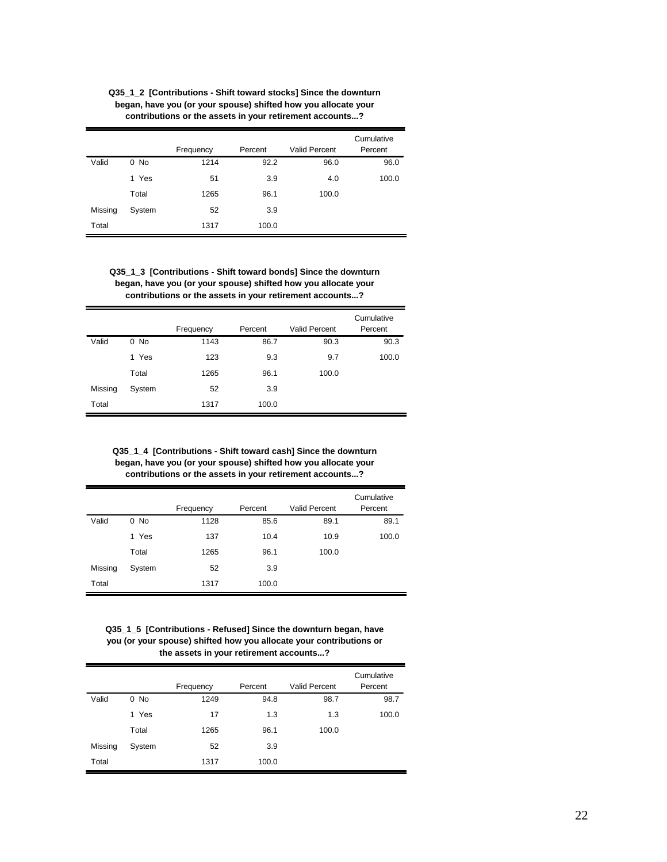| Q35 1 2 [Contributions - Shift toward stocks] Since the downturn |
|------------------------------------------------------------------|
| began, have you (or your spouse) shifted how you allocate your   |
| contributions or the assets in your retirement accounts?         |

|         |        | Frequency | Percent | <b>Valid Percent</b> | Cumulative<br>Percent |
|---------|--------|-----------|---------|----------------------|-----------------------|
| Valid   | $0$ No | 1214      | 92.2    | 96.0                 | 96.0                  |
|         | 1 Yes  | 51        | 3.9     | 4.0                  | 100.0                 |
|         | Total  | 1265      | 96.1    | 100.0                |                       |
| Missing | System | 52        | 3.9     |                      |                       |
| Total   |        | 1317      | 100.0   |                      |                       |

**Q35\_1\_3 [Contributions - Shift toward bonds] Since the downturn began, have you (or your spouse) shifted how you allocate your contributions or the assets in your retirement accounts...?**

|         |        |           |         |                      | Cumulative |
|---------|--------|-----------|---------|----------------------|------------|
|         |        | Frequency | Percent | <b>Valid Percent</b> | Percent    |
| Valid   | $0$ No | 1143      | 86.7    | 90.3                 | 90.3       |
|         | 1 Yes  | 123       | 9.3     | 9.7                  | 100.0      |
|         | Total  | 1265      | 96.1    | 100.0                |            |
| Missing | System | 52        | 3.9     |                      |            |
| Total   |        | 1317      | 100.0   |                      |            |

**Q35\_1\_4 [Contributions - Shift toward cash] Since the downturn began, have you (or your spouse) shifted how you allocate your contributions or the assets in your retirement accounts...?**

|         |        |           |         |                      | Cumulative |
|---------|--------|-----------|---------|----------------------|------------|
|         |        | Frequency | Percent | <b>Valid Percent</b> | Percent    |
| Valid   | $0$ No | 1128      | 85.6    | 89.1                 | 89.1       |
|         | 1 Yes  | 137       | 10.4    | 10.9                 | 100.0      |
|         | Total  | 1265      | 96.1    | 100.0                |            |
| Missing | System | 52        | 3.9     |                      |            |
| Total   |        | 1317      | 100.0   |                      |            |

**Q35\_1\_5 [Contributions - Refused] Since the downturn began, have you (or your spouse) shifted how you allocate your contributions or the assets in your retirement accounts...?**

|         |        |           |         |                      | Cumulative |
|---------|--------|-----------|---------|----------------------|------------|
|         |        | Frequency | Percent | <b>Valid Percent</b> | Percent    |
| Valid   | $0$ No | 1249      | 94.8    | 98.7                 | 98.7       |
|         | 1 Yes  | 17        | 1.3     | 1.3                  | 100.0      |
|         | Total  | 1265      | 96.1    | 100.0                |            |
| Missing | System | 52        | 3.9     |                      |            |
| Total   |        | 1317      | 100.0   |                      |            |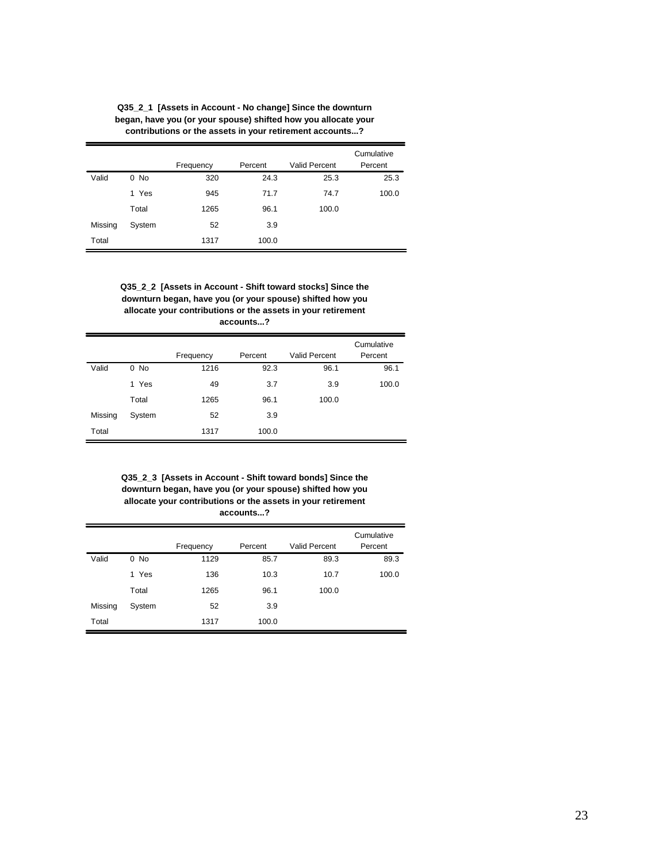|         | contributions or the assets in your retirement accounts? |           |         |                      |                       |  |  |
|---------|----------------------------------------------------------|-----------|---------|----------------------|-----------------------|--|--|
|         |                                                          | Frequency | Percent | <b>Valid Percent</b> | Cumulative<br>Percent |  |  |
| Valid   | $0$ No                                                   | 320       | 24.3    | 25.3                 | 25.3                  |  |  |
|         | 1 Yes                                                    | 945       | 71.7    | 74.7                 | 100.0                 |  |  |
|         | Total                                                    | 1265      | 96.1    | 100.0                |                       |  |  |
| Missing | System                                                   | 52        | 3.9     |                      |                       |  |  |

1317 100.0

Total

**Q35\_2\_1 [Assets in Account - No change] Since the downturn began, have you (or your spouse) shifted how you allocate your**

**Q35\_2\_2 [Assets in Account - Shift toward stocks] Since the downturn began, have you (or your spouse) shifted how you allocate your contributions or the assets in your retirement accounts...?**

|         |        | Frequency | Percent | <b>Valid Percent</b> | Cumulative<br>Percent |
|---------|--------|-----------|---------|----------------------|-----------------------|
| Valid   | 0 No   | 1216      | 92.3    | 96.1                 | 96.1                  |
|         | 1 Yes  | 49        | 3.7     | 3.9                  | 100.0                 |
|         | Total  | 1265      | 96.1    | 100.0                |                       |
| Missing | System | 52        | 3.9     |                      |                       |
| Total   |        | 1317      | 100.0   |                      |                       |

**Q35\_2\_3 [Assets in Account - Shift toward bonds] Since the downturn began, have you (or your spouse) shifted how you allocate your contributions or the assets in your retirement accounts...?**

|         |        |           |         |               | Cumulative |
|---------|--------|-----------|---------|---------------|------------|
|         |        | Frequency | Percent | Valid Percent | Percent    |
| Valid   | $0$ No | 1129      | 85.7    | 89.3          | 89.3       |
|         | 1 Yes  | 136       | 10.3    | 10.7          | 100.0      |
|         | Total  | 1265      | 96.1    | 100.0         |            |
| Missing | System | 52        | 3.9     |               |            |
| Total   |        | 1317      | 100.0   |               |            |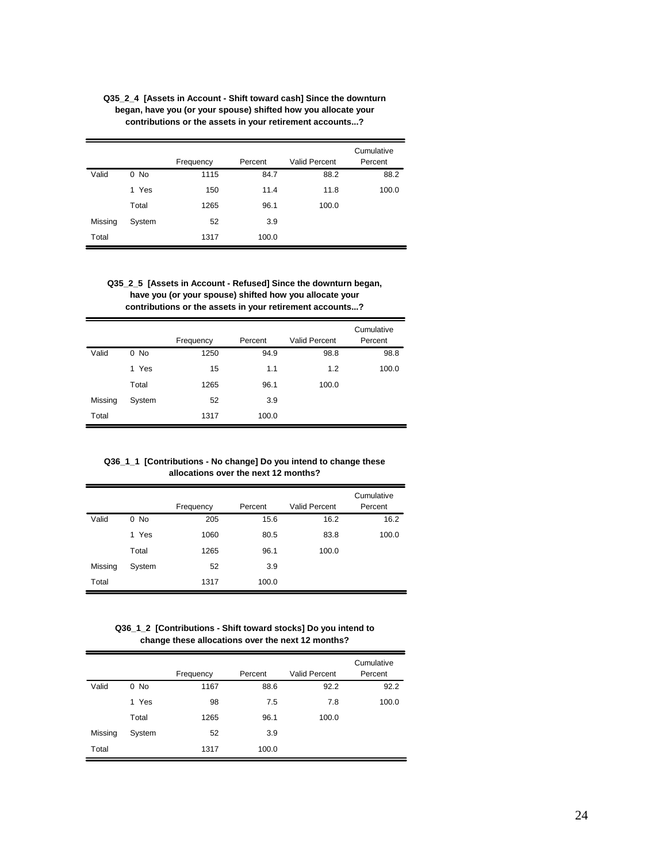|         |        |           |         |                      | Cumulative |
|---------|--------|-----------|---------|----------------------|------------|
|         |        | Frequency | Percent | <b>Valid Percent</b> | Percent    |
| Valid   | $0$ No | 1115      | 84.7    | 88.2                 | 88.2       |
|         | 1 Yes  | 150       | 11.4    | 11.8                 | 100.0      |
|         | Total  | 1265      | 96.1    | 100.0                |            |
| Missing | System | 52        | 3.9     |                      |            |
| Total   |        | 1317      | 100.0   |                      |            |

**Q35\_2\_4 [Assets in Account - Shift toward cash] Since the downturn began, have you (or your spouse) shifted how you allocate your contributions or the assets in your retirement accounts...?**

## **Q35\_2\_5 [Assets in Account - Refused] Since the downturn began, have you (or your spouse) shifted how you allocate your contributions or the assets in your retirement accounts...?**

|         |        |           |         |                      | Cumulative |
|---------|--------|-----------|---------|----------------------|------------|
|         |        | Frequency | Percent | <b>Valid Percent</b> | Percent    |
| Valid   | $0$ No | 1250      | 94.9    | 98.8                 | 98.8       |
|         | 1 Yes  | 15        | 1.1     | 1.2                  | 100.0      |
|         | Total  | 1265      | 96.1    | 100.0                |            |
| Missing | System | 52        | 3.9     |                      |            |
| Total   |        | 1317      | 100.0   |                      |            |

**Q36\_1\_1 [Contributions - No change] Do you intend to change these allocations over the next 12 months?**

|         |        |           | Percent | Valid Percent | Cumulative<br>Percent |
|---------|--------|-----------|---------|---------------|-----------------------|
|         |        | Frequency |         |               |                       |
| Valid   | $0$ No | 205       | 15.6    | 16.2          | 16.2                  |
|         | 1 Yes  | 1060      | 80.5    | 83.8          | 100.0                 |
|         | Total  | 1265      | 96.1    | 100.0         |                       |
| Missing | System | 52        | 3.9     |               |                       |
| Total   |        | 1317      | 100.0   |               |                       |

**Q36\_1\_2 [Contributions - Shift toward stocks] Do you intend to change these allocations over the next 12 months?**

|         |        |           |         |                      | Cumulative |
|---------|--------|-----------|---------|----------------------|------------|
|         |        | Frequency | Percent | <b>Valid Percent</b> | Percent    |
| Valid   | $0$ No | 1167      | 88.6    | 92.2                 | 92.2       |
|         | 1 Yes  | 98        | 7.5     | 7.8                  | 100.0      |
|         | Total  | 1265      | 96.1    | 100.0                |            |
| Missing | System | 52        | 3.9     |                      |            |
| Total   |        | 1317      | 100.0   |                      |            |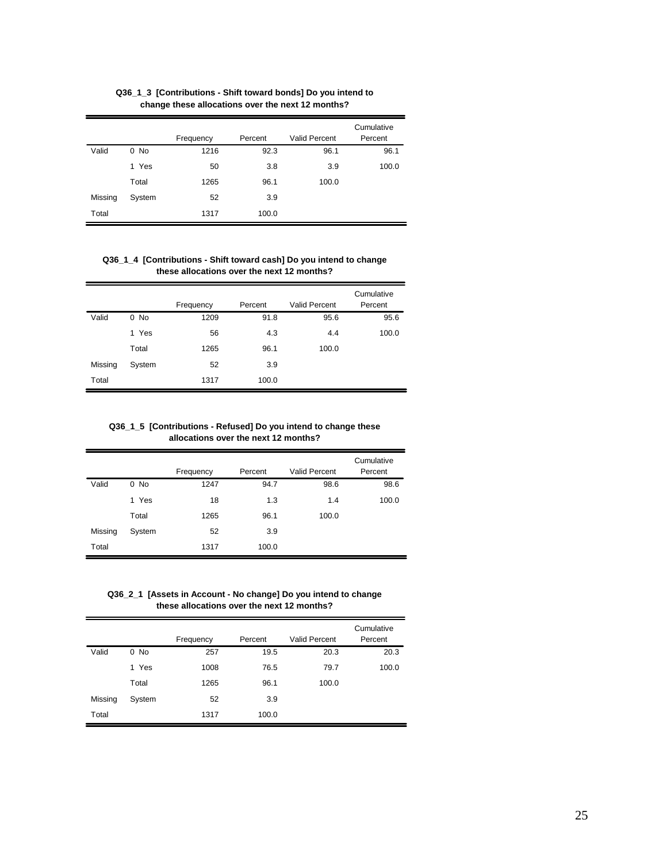|         |        | Frequency | Percent | <b>Valid Percent</b> | Cumulative<br>Percent |
|---------|--------|-----------|---------|----------------------|-----------------------|
| Valid   | $0$ No | 1216      | 92.3    | 96.1                 | 96.1                  |
|         | 1 Yes  | 50        | 3.8     | 3.9                  | 100.0                 |
|         | Total  | 1265      | 96.1    | 100.0                |                       |
| Missing | System | 52        | 3.9     |                      |                       |
| Total   |        | 1317      | 100.0   |                      |                       |

**Q36\_1\_3 [Contributions - Shift toward bonds] Do you intend to change these allocations over the next 12 months?**

#### **Q36\_1\_4 [Contributions - Shift toward cash] Do you intend to change these allocations over the next 12 months?**

|         |        |           |         |                      | Cumulative |
|---------|--------|-----------|---------|----------------------|------------|
|         |        | Frequency | Percent | <b>Valid Percent</b> | Percent    |
| Valid   | 0 No   | 1209      | 91.8    | 95.6                 | 95.6       |
|         | 1 Yes  | 56        | 4.3     | 4.4                  | 100.0      |
|         | Total  | 1265      | 96.1    | 100.0                |            |
| Missing | System | 52        | 3.9     |                      |            |
| Total   |        | 1317      | 100.0   |                      |            |

**Q36\_1\_5 [Contributions - Refused] Do you intend to change these allocations over the next 12 months?**

|         |        | Frequency | Percent | Valid Percent | Cumulative<br>Percent |
|---------|--------|-----------|---------|---------------|-----------------------|
| Valid   | $0$ No | 1247      | 94.7    | 98.6          | 98.6                  |
|         | 1 Yes  | 18        | 1.3     | 1.4           | 100.0                 |
|         |        |           |         |               |                       |
|         | Total  | 1265      | 96.1    | 100.0         |                       |
| Missing | System | 52        | 3.9     |               |                       |
| Total   |        | 1317      | 100.0   |               |                       |

**Q36\_2\_1 [Assets in Account - No change] Do you intend to change these allocations over the next 12 months?**

|         |        |           |         |                      | Cumulative |
|---------|--------|-----------|---------|----------------------|------------|
|         |        | Frequency | Percent | <b>Valid Percent</b> | Percent    |
| Valid   | $0$ No | 257       | 19.5    | 20.3                 | 20.3       |
|         | 1 Yes  | 1008      | 76.5    | 79.7                 | 100.0      |
|         | Total  | 1265      | 96.1    | 100.0                |            |
| Missing | System | 52        | 3.9     |                      |            |
| Total   |        | 1317      | 100.0   |                      |            |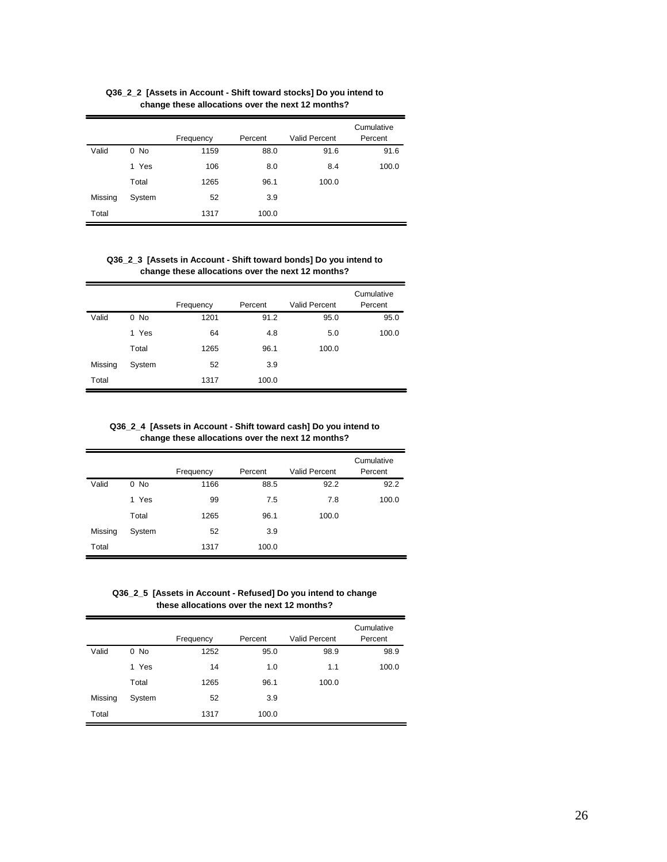|         |        |           |         |                      | Cumulative |
|---------|--------|-----------|---------|----------------------|------------|
|         |        | Frequency | Percent | <b>Valid Percent</b> | Percent    |
| Valid   | $0$ No | 1159      | 88.0    | 91.6                 | 91.6       |
|         | 1 Yes  | 106       | 8.0     | 8.4                  | 100.0      |
|         | Total  | 1265      | 96.1    | 100.0                |            |
| Missing | System | 52        | 3.9     |                      |            |
| Total   |        | 1317      | 100.0   |                      |            |

**Q36\_2\_2 [Assets in Account - Shift toward stocks] Do you intend to change these allocations over the next 12 months?**

#### **Q36\_2\_3 [Assets in Account - Shift toward bonds] Do you intend to change these allocations over the next 12 months?**

|         |        |           |         |                      | Cumulative |
|---------|--------|-----------|---------|----------------------|------------|
|         |        | Frequency | Percent | <b>Valid Percent</b> | Percent    |
| Valid   | $0$ No | 1201      | 91.2    | 95.0                 | 95.0       |
|         | 1 Yes  | 64        | 4.8     | 5.0                  | 100.0      |
|         | Total  | 1265      | 96.1    | 100.0                |            |
| Missing | System | 52        | 3.9     |                      |            |
| Total   |        | 1317      | 100.0   |                      |            |

**Q36\_2\_4 [Assets in Account - Shift toward cash] Do you intend to change these allocations over the next 12 months?**

|         |        | Frequency | Percent | <b>Valid Percent</b> | Cumulative<br>Percent |
|---------|--------|-----------|---------|----------------------|-----------------------|
| Valid   | $0$ No | 1166      | 88.5    | 92.2                 | 92.2                  |
|         |        |           |         |                      |                       |
|         | 1 Yes  | 99        | 7.5     | 7.8                  | 100.0                 |
|         | Total  | 1265      | 96.1    | 100.0                |                       |
| Missing | System | 52        | 3.9     |                      |                       |
| Total   |        | 1317      | 100.0   |                      |                       |

**Q36\_2\_5 [Assets in Account - Refused] Do you intend to change these allocations over the next 12 months?**

|         |        |           |         |                      | Cumulative |
|---------|--------|-----------|---------|----------------------|------------|
|         |        | Frequency | Percent | <b>Valid Percent</b> | Percent    |
| Valid   | $0$ No | 1252      | 95.0    | 98.9                 | 98.9       |
|         | 1 Yes  | 14        | 1.0     | 1.1                  | 100.0      |
|         | Total  | 1265      | 96.1    | 100.0                |            |
| Missing | System | 52        | 3.9     |                      |            |
| Total   |        | 1317      | 100.0   |                      |            |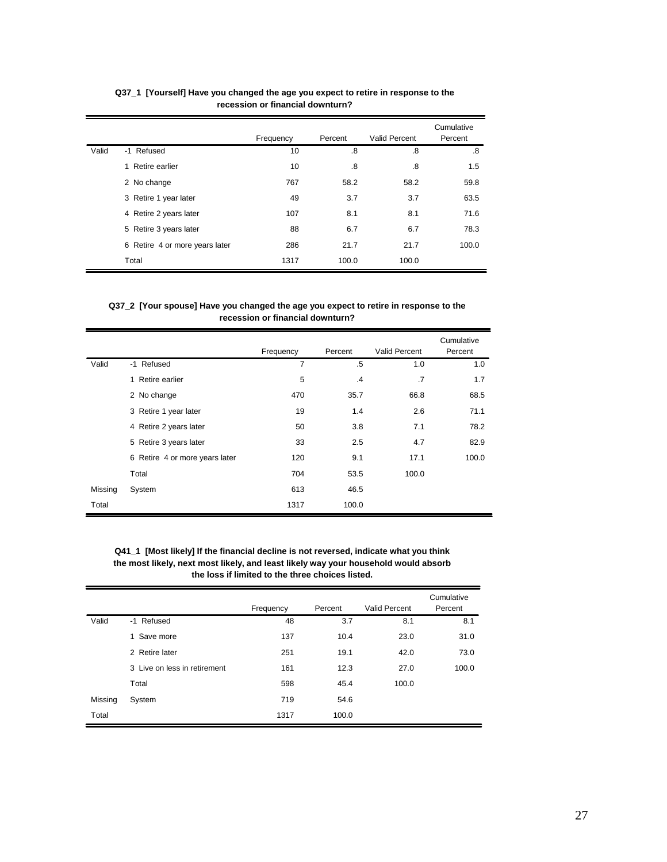|       |                                | Frequency | Percent | Valid Percent | Cumulative<br>Percent |
|-------|--------------------------------|-----------|---------|---------------|-----------------------|
| Valid | -1 Refused                     | 10        | .8      | .8            | .8                    |
|       | 1 Retire earlier               | 10        | .8      | .8            | 1.5                   |
|       | 2 No change                    | 767       | 58.2    | 58.2          | 59.8                  |
|       | 3 Retire 1 year later          | 49        | 3.7     | 3.7           | 63.5                  |
|       | 4 Retire 2 years later         | 107       | 8.1     | 8.1           | 71.6                  |
|       | 5 Retire 3 years later         | 88        | 6.7     | 6.7           | 78.3                  |
|       | 6 Retire 4 or more years later | 286       | 21.7    | 21.7          | 100.0                 |
|       | Total                          | 1317      | 100.0   | 100.0         |                       |

## **Q37\_1 [Yourself] Have you changed the age you expect to retire in response to the recession or financial downturn?**

#### **Q37\_2 [Your spouse] Have you changed the age you expect to retire in response to the recession or financial downturn?**

|         |                                | Frequency | Percent | Valid Percent | Cumulative<br>Percent |
|---------|--------------------------------|-----------|---------|---------------|-----------------------|
| Valid   | -1 Refused                     | 7         | .5      | 1.0           | 1.0                   |
|         | 1 Retire earlier               | 5         | .4      | .7            | 1.7                   |
|         | 2 No change                    | 470       | 35.7    | 66.8          | 68.5                  |
|         | 3 Retire 1 year later          | 19        | 1.4     | 2.6           | 71.1                  |
|         | 4 Retire 2 years later         | 50        | 3.8     | 7.1           | 78.2                  |
|         | 5 Retire 3 years later         | 33        | 2.5     | 4.7           | 82.9                  |
|         | 6 Retire 4 or more years later | 120       | 9.1     | 17.1          | 100.0                 |
|         | Total                          | 704       | 53.5    | 100.0         |                       |
| Missing | System                         | 613       | 46.5    |               |                       |
| Total   |                                | 1317      | 100.0   |               |                       |

**Q41\_1 [Most likely] If the financial decline is not reversed, indicate what you think the most likely, next most likely, and least likely way your household would absorb the loss if limited to the three choices listed.**

|         |                              | Frequency | Percent | <b>Valid Percent</b> | Cumulative<br>Percent |
|---------|------------------------------|-----------|---------|----------------------|-----------------------|
| Valid   | -1 Refused                   | 48        | 3.7     | 8.1                  | 8.1                   |
|         | 1 Save more                  | 137       | 10.4    | 23.0                 | 31.0                  |
|         | 2 Retire later               | 251       | 19.1    | 42.0                 | 73.0                  |
|         | 3 Live on less in retirement | 161       | 12.3    | 27.0                 | 100.0                 |
|         | Total                        | 598       | 45.4    | 100.0                |                       |
| Missing | System                       | 719       | 54.6    |                      |                       |
| Total   |                              | 1317      | 100.0   |                      |                       |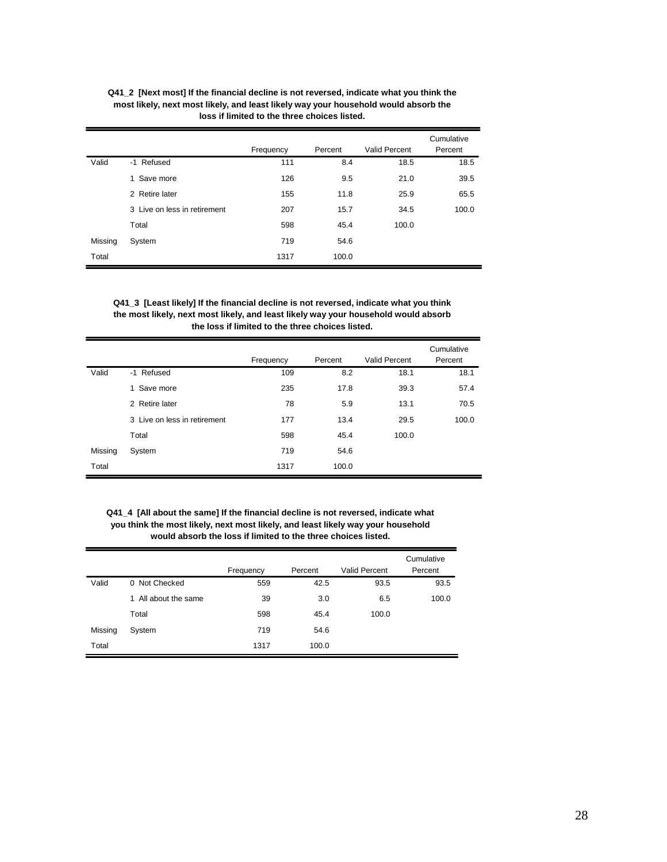|         | loss if limited to the three choices listed. |           |         |               |                       |  |  |  |  |
|---------|----------------------------------------------|-----------|---------|---------------|-----------------------|--|--|--|--|
|         |                                              | Frequency | Percent | Valid Percent | Cumulative<br>Percent |  |  |  |  |
| Valid   | -1 Refused                                   | 111       | 8.4     | 18.5          | 18.5                  |  |  |  |  |
|         | 1 Save more                                  | 126       | 9.5     | 21.0          | 39.5                  |  |  |  |  |
|         | 2 Retire later                               | 155       | 11.8    | 25.9          | 65.5                  |  |  |  |  |
|         | 3 Live on less in retirement                 | 207       | 15.7    | 34.5          | 100.0                 |  |  |  |  |
|         | Total                                        | 598       | 45.4    | 100.0         |                       |  |  |  |  |
| Missing | System                                       | 719       | 54.6    |               |                       |  |  |  |  |

**Q41\_2 [Next most] If the financial decline is not reversed, indicate what you think the most likely, next most likely, and least likely way your household would absorb the**

## **Q41\_3 [Least likely] If the financial decline is not reversed, indicate what you think the most likely, next most likely, and least likely way your household would absorb the loss if limited to the three choices listed.**

Total

1317 100.0

|         |                              | Frequency | Percent | <b>Valid Percent</b> | Cumulative<br>Percent |
|---------|------------------------------|-----------|---------|----------------------|-----------------------|
| Valid   | -1 Refused                   | 109       | 8.2     | 18.1                 | 18.1                  |
|         | 1 Save more                  | 235       | 17.8    | 39.3                 | 57.4                  |
|         | 2 Retire later               | 78        | 5.9     | 13.1                 | 70.5                  |
|         | 3 Live on less in retirement | 177       | 13.4    | 29.5                 | 100.0                 |
|         | Total                        | 598       | 45.4    | 100.0                |                       |
| Missing | System                       | 719       | 54.6    |                      |                       |
| Total   |                              | 1317      | 100.0   |                      |                       |

#### **Q41\_4 [All about the same] If the financial decline is not reversed, indicate what you think the most likely, next most likely, and least likely way your household would absorb the loss if limited to the three choices listed.**

|         |                         | Frequency | Percent | Valid Percent | Cumulative<br>Percent |
|---------|-------------------------|-----------|---------|---------------|-----------------------|
| Valid   | 0 Not Checked           | 559       | 42.5    | 93.5          | 93.5                  |
|         | All about the same<br>1 | 39        | 3.0     | 6.5           | 100.0                 |
|         | Total                   | 598       | 45.4    | 100.0         |                       |
| Missing | System                  | 719       | 54.6    |               |                       |
| Total   |                         | 1317      | 100.0   |               |                       |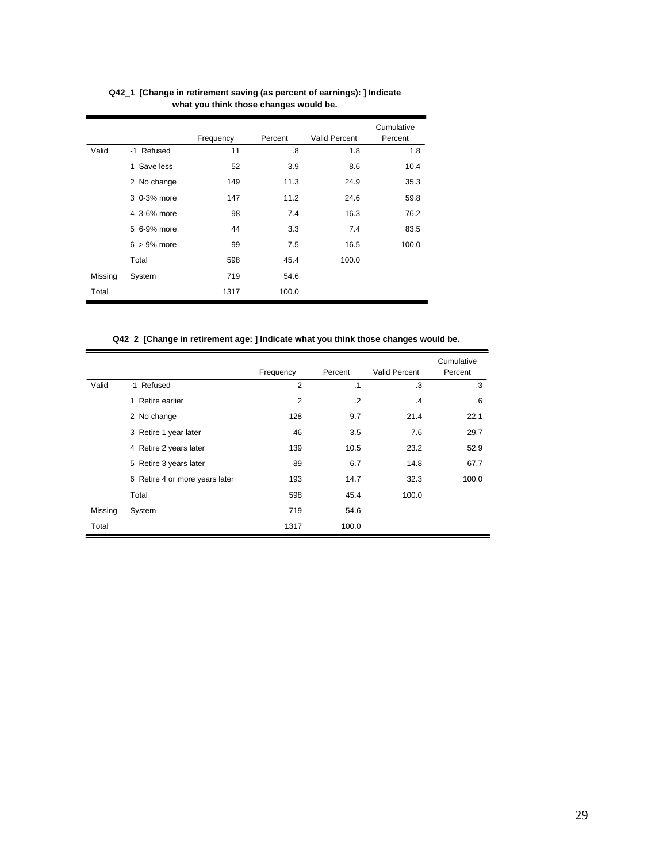|         |                | Frequency | Percent | Valid Percent | Cumulative<br>Percent |
|---------|----------------|-----------|---------|---------------|-----------------------|
| Valid   | -1 Refused     | 11        | .8      | 1.8           | 1.8                   |
|         | 1 Save less    | 52        | 3.9     | 8.6           | 10.4                  |
|         | 2 No change    | 149       | 11.3    | 24.9          | 35.3                  |
|         | 3 0-3% more    | 147       | 11.2    | 24.6          | 59.8                  |
|         | 4 3-6% more    | 98        | 7.4     | 16.3          | 76.2                  |
|         | 5 6-9% more    | 44        | 3.3     | 7.4           | 83.5                  |
|         | $6 > 9\%$ more | 99        | 7.5     | 16.5          | 100.0                 |
|         | Total          | 598       | 45.4    | 100.0         |                       |
| Missing | System         | 719       | 54.6    |               |                       |
| Total   |                | 1317      | 100.0   |               |                       |

**Q42\_1 [Change in retirement saving (as percent of earnings): ] Indicate what you think those changes would be.**

**Q42\_2 [Change in retirement age: ] Indicate what you think those changes would be.**

|         |                                | Frequency      | Percent   | <b>Valid Percent</b> | Cumulative<br>Percent |
|---------|--------------------------------|----------------|-----------|----------------------|-----------------------|
| Valid   | -1 Refused                     | $\overline{2}$ | $\cdot$ 1 | .3                   | .3                    |
|         | 1 Retire earlier               | 2              | $\cdot$   | .4                   | $6^{\circ}$           |
|         | 2 No change                    | 128            | 9.7       | 21.4                 | 22.1                  |
|         | 3 Retire 1 year later          | 46             | 3.5       | 7.6                  | 29.7                  |
|         | 4 Retire 2 years later         | 139            | 10.5      | 23.2                 | 52.9                  |
|         | 5 Retire 3 years later         | 89             | 6.7       | 14.8                 | 67.7                  |
|         | 6 Retire 4 or more years later | 193            | 14.7      | 32.3                 | 100.0                 |
|         | Total                          | 598            | 45.4      | 100.0                |                       |
| Missing | System                         | 719            | 54.6      |                      |                       |
| Total   |                                | 1317           | 100.0     |                      |                       |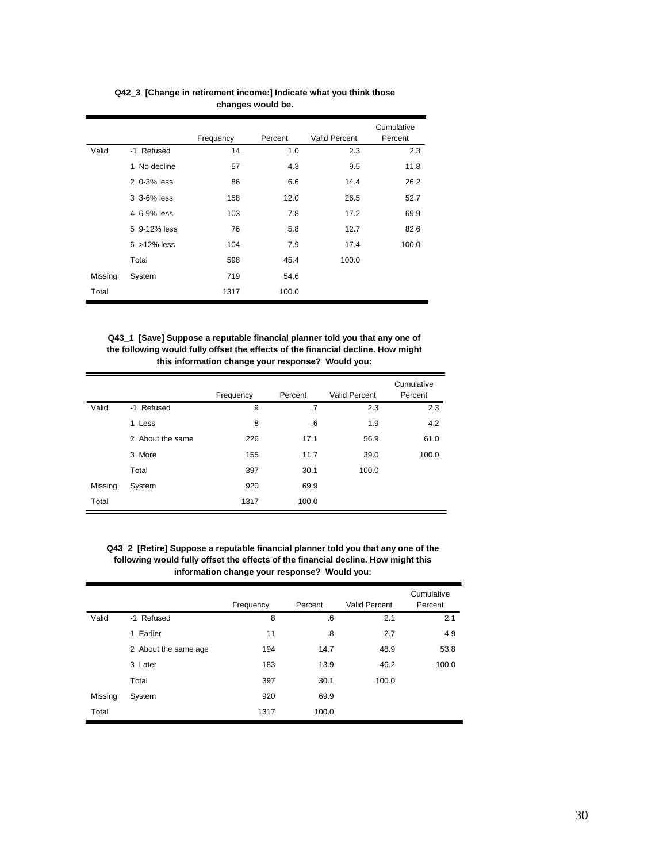|         |                 | Frequency | Percent | <b>Valid Percent</b> | Cumulative<br>Percent |
|---------|-----------------|-----------|---------|----------------------|-----------------------|
| Valid   | -1 Refused      | 14        | 1.0     | 2.3                  | 2.3                   |
|         | 1 No decline    | 57        | 4.3     | 9.5                  | 11.8                  |
|         | 2 0-3% less     | 86        | 6.6     | 14.4                 | 26.2                  |
|         | 3 3-6% less     | 158       | 12.0    | 26.5                 | 52.7                  |
|         | 4 6-9% less     | 103       | 7.8     | 17.2                 | 69.9                  |
|         | 5 9-12% less    | 76        | 5.8     | 12.7                 | 82.6                  |
|         | $6 > 12\%$ less | 104       | 7.9     | 17.4                 | 100.0                 |
|         | Total           | 598       | 45.4    | 100.0                |                       |
| Missing | System          | 719       | 54.6    |                      |                       |
| Total   |                 | 1317      | 100.0   |                      |                       |

**Q42\_3 [Change in retirement income:] Indicate what you think those changes would be.**

**Q43\_1 [Save] Suppose a reputable financial planner told you that any one of the following would fully offset the effects of the financial decline. How might this information change your response? Would you:**

|         |                  | Frequency | Percent | Valid Percent | Cumulative<br>Percent |
|---------|------------------|-----------|---------|---------------|-----------------------|
| Valid   | -1 Refused       | 9         | .7      | 2.3           | 2.3                   |
|         | 1 Less           | 8         | .6      | 1.9           | 4.2                   |
|         | 2 About the same | 226       | 17.1    | 56.9          | 61.0                  |
|         | 3 More           | 155       | 11.7    | 39.0          | 100.0                 |
|         | Total            | 397       | 30.1    | 100.0         |                       |
| Missing | System           | 920       | 69.9    |               |                       |
| Total   |                  | 1317      | 100.0   |               |                       |

**Q43\_2 [Retire] Suppose a reputable financial planner told you that any one of the following would fully offset the effects of the financial decline. How might this information change your response? Would you:**

|         |                         | Frequency | Percent | <b>Valid Percent</b> | Cumulative<br>Percent |
|---------|-------------------------|-----------|---------|----------------------|-----------------------|
| Valid   | -1 Refused              | 8         | .6      | 2.1                  | 2.1                   |
|         | Earlier<br>$\mathbf{1}$ | 11        | .8      | 2.7                  | 4.9                   |
|         | 2 About the same age    | 194       | 14.7    | 48.9                 | 53.8                  |
|         | 3 Later                 | 183       | 13.9    | 46.2                 | 100.0                 |
|         | Total                   | 397       | 30.1    | 100.0                |                       |
| Missing | System                  | 920       | 69.9    |                      |                       |
| Total   |                         | 1317      | 100.0   |                      |                       |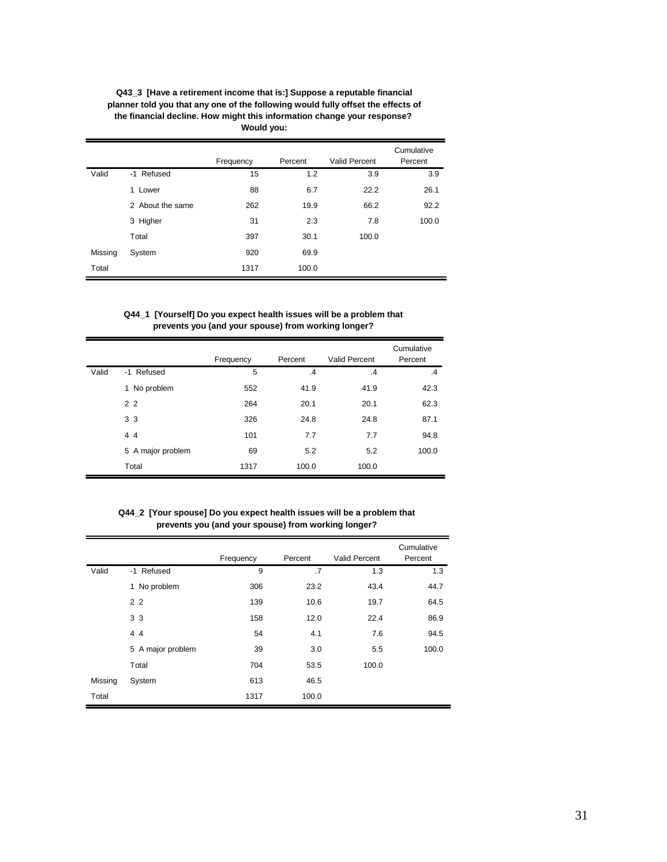|         |                  | Frequency | Percent | <b>Valid Percent</b> | Cumulative<br>Percent |
|---------|------------------|-----------|---------|----------------------|-----------------------|
| Valid   | -1 Refused       | 15        | 1.2     | 3.9                  | 3.9                   |
|         | 1 Lower          | 88        | 6.7     | 22.2                 | 26.1                  |
|         | 2 About the same | 262       | 19.9    | 66.2                 | 92.2                  |
|         | 3 Higher         | 31        | 2.3     | 7.8                  | 100.0                 |
|         | Total            | 397       | 30.1    | 100.0                |                       |
| Missing | System           | 920       | 69.9    |                      |                       |
| Total   |                  | 1317      | 100.0   |                      |                       |

**Q43\_3 [Have a retirement income that is:] Suppose a reputable financial planner told you that any one of the following would fully offset the effects of the financial decline. How might this information change your response? Would you:**

**Q44\_1 [Yourself] Do you expect health issues will be a problem that prevents you (and your spouse) from working longer?**

|       |                   | Frequency | Percent | <b>Valid Percent</b> | Cumulative<br>Percent |
|-------|-------------------|-----------|---------|----------------------|-----------------------|
| Valid | -1 Refused        | 5         | $\cdot$ | $\mathcal{A}$        | $\cdot$ 4             |
|       | 1 No problem      | 552       | 41.9    | 41.9                 | 42.3                  |
|       | 2 <sub>2</sub>    | 264       | 20.1    | 20.1                 | 62.3                  |
|       | 3 <sub>3</sub>    | 326       | 24.8    | 24.8                 | 87.1                  |
|       | 44                | 101       | 7.7     | 7.7                  | 94.8                  |
|       | 5 A major problem | 69        | 5.2     | 5.2                  | 100.0                 |
|       | Total             | 1317      | 100.0   | 100.0                |                       |

**Q44\_2 [Your spouse] Do you expect health issues will be a problem that prevents you (and your spouse) from working longer?**

|         |                   | Frequency | Percent | <b>Valid Percent</b> | Cumulative<br>Percent |
|---------|-------------------|-----------|---------|----------------------|-----------------------|
| Valid   | -1 Refused        | 9         | .7      | 1.3                  | 1.3                   |
|         | 1 No problem      | 306       | 23.2    | 43.4                 | 44.7                  |
|         | 2 <sub>2</sub>    | 139       | 10.6    | 19.7                 | 64.5                  |
|         | 3 <sub>3</sub>    | 158       | 12.0    | 22.4                 | 86.9                  |
|         | 44                | 54        | 4.1     | 7.6                  | 94.5                  |
|         | 5 A major problem | 39        | 3.0     | 5.5                  | 100.0                 |
|         | Total             | 704       | 53.5    | 100.0                |                       |
| Missing | System            | 613       | 46.5    |                      |                       |
| Total   |                   | 1317      | 100.0   |                      |                       |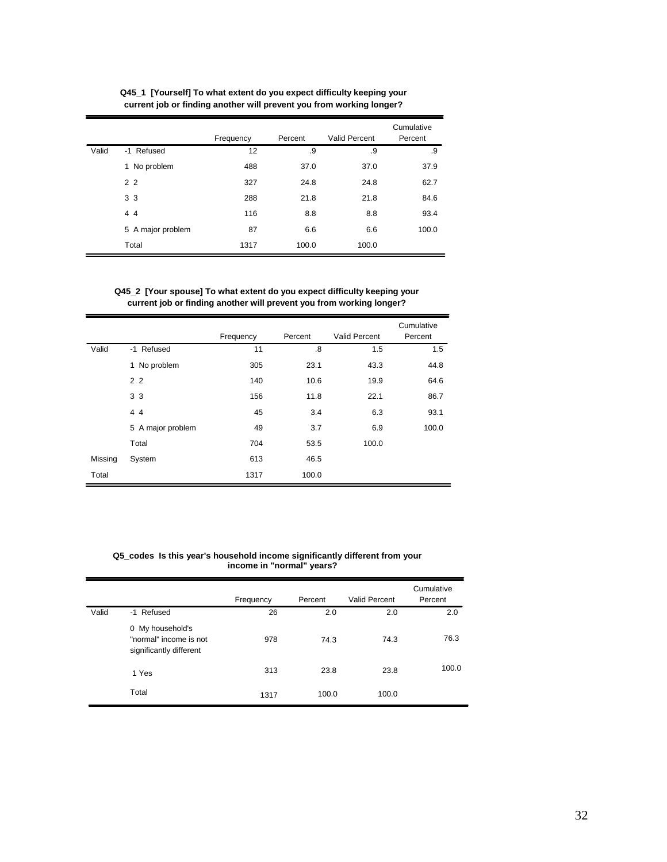|       |                   | Frequency | Percent | <b>Valid Percent</b> | Cumulative<br>Percent |
|-------|-------------------|-----------|---------|----------------------|-----------------------|
| Valid | -1 Refused        | 12        | .9      | .9                   | .9                    |
|       | 1 No problem      | 488       | 37.0    | 37.0                 | 37.9                  |
|       | 2 <sub>2</sub>    | 327       | 24.8    | 24.8                 | 62.7                  |
|       | 3 <sub>3</sub>    | 288       | 21.8    | 21.8                 | 84.6                  |
|       | 44                | 116       | 8.8     | 8.8                  | 93.4                  |
|       | 5 A major problem | 87        | 6.6     | 6.6                  | 100.0                 |
|       | Total             | 1317      | 100.0   | 100.0                |                       |

**Q45\_1 [Yourself] To what extent do you expect difficulty keeping your current job or finding another will prevent you from working longer?**

## **Q45\_2 [Your spouse] To what extent do you expect difficulty keeping your current job or finding another will prevent you from working longer?**

|         |                   | Frequency | Percent | Valid Percent | Cumulative<br>Percent |
|---------|-------------------|-----------|---------|---------------|-----------------------|
| Valid   | -1 Refused        | 11        | .8      | 1.5           | 1.5                   |
|         | 1 No problem      | 305       | 23.1    | 43.3          | 44.8                  |
|         | 2 <sub>2</sub>    | 140       | 10.6    | 19.9          | 64.6                  |
|         | 3 3               | 156       | 11.8    | 22.1          | 86.7                  |
|         | 44                | 45        | 3.4     | 6.3           | 93.1                  |
|         | 5 A major problem | 49        | 3.7     | 6.9           | 100.0                 |
|         | Total             | 704       | 53.5    | 100.0         |                       |
| Missing | System            | 613       | 46.5    |               |                       |
| Total   |                   | 1317      | 100.0   |               |                       |

 **Q5\_codes Is this year's household income significantly different from your income in "normal" years?**

|       |                                                                       | Frequency | Percent | Valid Percent | Cumulative<br>Percent |
|-------|-----------------------------------------------------------------------|-----------|---------|---------------|-----------------------|
| Valid | -1 Refused                                                            | 26        | 2.0     | 2.0           | 2.0                   |
|       | 0 My household's<br>"normal" income is not<br>significantly different | 978       | 74.3    | 74.3          | 76.3                  |
|       | 1 Yes                                                                 | 313       | 23.8    | 23.8          | 100.0                 |
|       | Total                                                                 | 1317      | 100.0   | 100.0         |                       |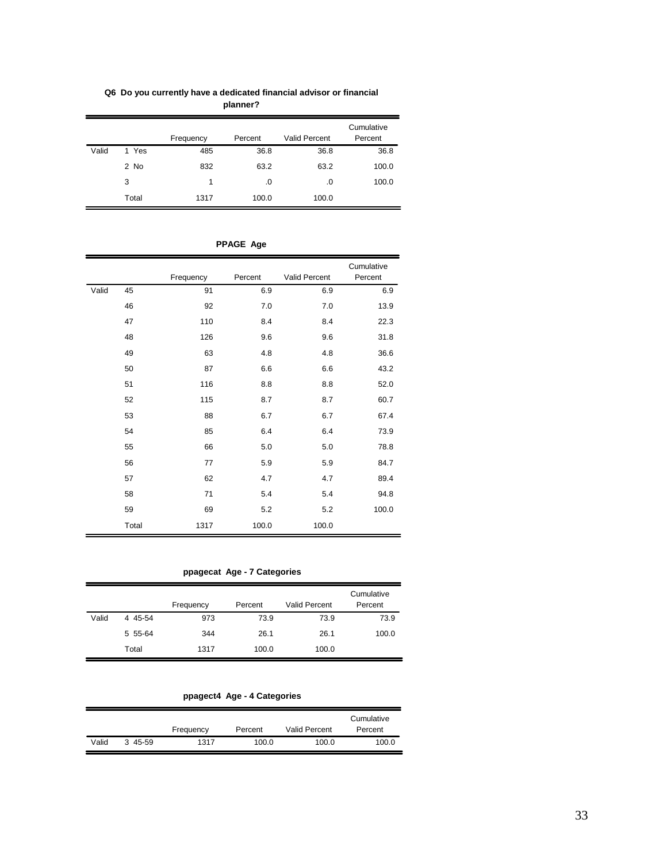|       |           | Frequency | Percent | <b>Valid Percent</b> | Cumulative<br>Percent |
|-------|-----------|-----------|---------|----------------------|-----------------------|
| Valid | Yes<br>1. | 485       | 36.8    | 36.8                 | 36.8                  |
|       | 2 No      | 832       | 63.2    | 63.2                 | 100.0                 |
|       | 3         | 1         | .0      | .0                   | 100.0                 |
|       | Total     | 1317      | 100.0   | 100.0                |                       |

**Q6 Do you currently have a dedicated financial advisor or financial planner?**

|       |       |           |         |               | Cumulative |
|-------|-------|-----------|---------|---------------|------------|
|       |       | Frequency | Percent | Valid Percent | Percent    |
| Valid | 45    | 91        | 6.9     | 6.9           | 6.9        |
|       | 46    | 92        | 7.0     | 7.0           | 13.9       |
|       | 47    | 110       | 8.4     | 8.4           | 22.3       |
|       | 48    | 126       | 9.6     | 9.6           | 31.8       |
|       | 49    | 63        | 4.8     | 4.8           | 36.6       |
|       | 50    | 87        | 6.6     | 6.6           | 43.2       |
|       | 51    | 116       | 8.8     | 8.8           | 52.0       |
|       | 52    | 115       | 8.7     | 8.7           | 60.7       |
|       | 53    | 88        | 6.7     | 6.7           | 67.4       |
|       | 54    | 85        | 6.4     | 6.4           | 73.9       |
|       | 55    | 66        | 5.0     | 5.0           | 78.8       |
|       | 56    | 77        | 5.9     | 5.9           | 84.7       |
|       | 57    | 62        | 4.7     | 4.7           | 89.4       |
|       | 58    | 71        | 5.4     | 5.4           | 94.8       |
|       | 59    | 69        | 5.2     | 5.2           | 100.0      |
|       | Total | 1317      | 100.0   | 100.0         |            |

**PPAGE Age**

**ppagecat Age - 7 Categories**

|       |         |           |         |                      | Cumulative |
|-------|---------|-----------|---------|----------------------|------------|
|       |         | Frequency | Percent | <b>Valid Percent</b> | Percent    |
| Valid | 4 45-54 | 973       | 73.9    | 73.9                 | 73.9       |
|       | 5 55-64 | 344       | 26.1    | 26.1                 | 100.0      |
|       | Total   | 1317      | 100.0   | 100.0                |            |

**ppagect4 Age - 4 Categories**

|       |         | Frequency | Percent | <b>Valid Percent</b> | Cumulative<br>Percent |
|-------|---------|-----------|---------|----------------------|-----------------------|
| Valid | 3 45-59 | 1317      | 100.0   | 100.0                | 100.0                 |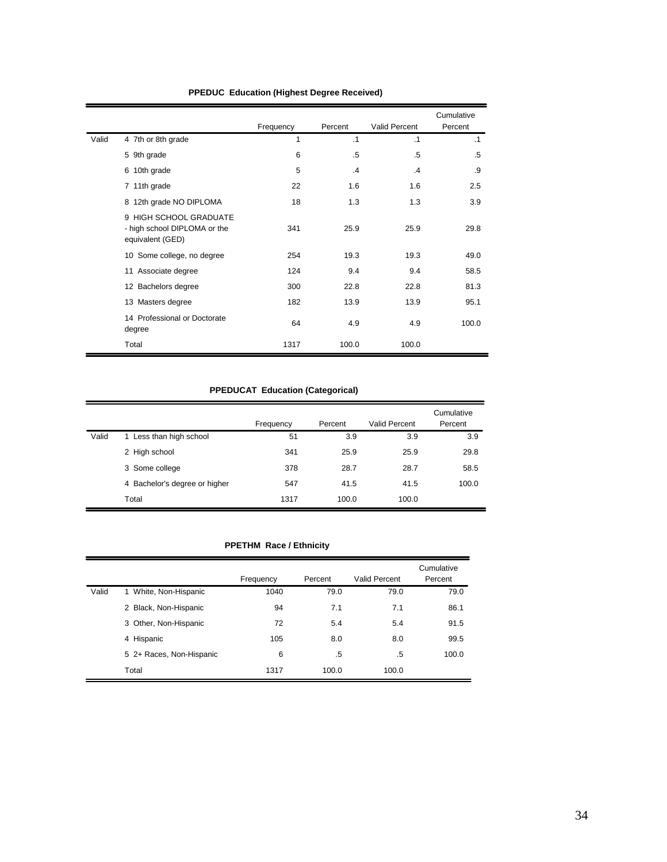|       |                                                                            | Frequency | Percent | Valid Percent | Cumulative<br>Percent |
|-------|----------------------------------------------------------------------------|-----------|---------|---------------|-----------------------|
| Valid | 4 7th or 8th grade                                                         | 1         | .1      | $\cdot$ 1     | $\cdot$ 1             |
|       | 5 9th grade                                                                | 6         | .5      | $.5\,$        | .5                    |
|       | 6 10th grade                                                               | 5         | $\cdot$ | $\mathbf{A}$  | .9                    |
|       | 7 11th grade                                                               | 22        | 1.6     | 1.6           | 2.5                   |
|       | 8 12th grade NO DIPLOMA                                                    | 18        | 1.3     | 1.3           | 3.9                   |
|       | 9 HIGH SCHOOL GRADUATE<br>- high school DIPLOMA or the<br>equivalent (GED) | 341       | 25.9    | 25.9          | 29.8                  |
|       | 10 Some college, no degree                                                 | 254       | 19.3    | 19.3          | 49.0                  |
|       | 11 Associate degree                                                        | 124       | 9.4     | 9.4           | 58.5                  |
|       | 12 Bachelors degree                                                        | 300       | 22.8    | 22.8          | 81.3                  |
|       | 13 Masters degree                                                          | 182       | 13.9    | 13.9          | 95.1                  |
|       | 14 Professional or Doctorate<br>degree                                     | 64        | 4.9     | 4.9           | 100.0                 |
|       | Total                                                                      | 1317      | 100.0   | 100.0         |                       |

# **PPEDUC Education (Highest Degree Received)**

# **PPEDUCAT Education (Categorical)**

|       |                               | Frequency | Percent | Valid Percent | Cumulative<br>Percent |
|-------|-------------------------------|-----------|---------|---------------|-----------------------|
| Valid | 1 Less than high school       | 51        | 3.9     | 3.9           | 3.9                   |
|       | 2 High school                 | 341       | 25.9    | 25.9          | 29.8                  |
|       | 3 Some college                | 378       | 28.7    | 28.7          | 58.5                  |
|       | 4 Bachelor's degree or higher | 547       | 41.5    | 41.5          | 100.0                 |
|       | Total                         | 1317      | 100.0   | 100.0         |                       |

# **PPETHM Race / Ethnicity**

|       |                          | Frequency | Percent | Valid Percent | Cumulative<br>Percent |
|-------|--------------------------|-----------|---------|---------------|-----------------------|
| Valid | 1 White, Non-Hispanic    | 1040      | 79.0    | 79.0          | 79.0                  |
|       | 2 Black, Non-Hispanic    | 94        | 7.1     | 7.1           | 86.1                  |
|       | 3 Other, Non-Hispanic    | 72        | 5.4     | 5.4           | 91.5                  |
|       | 4 Hispanic               | 105       | 8.0     | 8.0           | 99.5                  |
|       | 5 2+ Races, Non-Hispanic | 6         | .5      | .5            | 100.0                 |
|       | Total                    | 1317      | 100.0   | 100.0         |                       |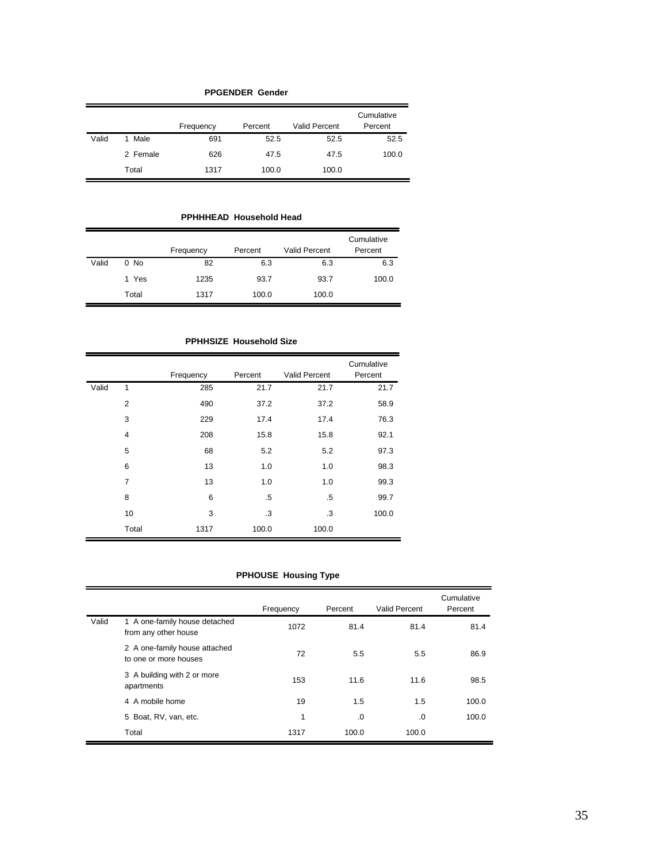|       | <b>PPGENDER Gender</b> |           |         |                      |                       |  |  |  |  |  |
|-------|------------------------|-----------|---------|----------------------|-----------------------|--|--|--|--|--|
|       |                        | Frequency | Percent | <b>Valid Percent</b> | Cumulative<br>Percent |  |  |  |  |  |
| Valid | 1 Male                 | 691       | 52.5    | 52.5                 | 52.5                  |  |  |  |  |  |
|       | 2 Female               | 626       | 47.5    | 47.5                 | 100.0                 |  |  |  |  |  |
|       | Total                  | 1317      | 100.0   | 100.0                |                       |  |  |  |  |  |

**PPHHHEAD Household Head**

|       |        | Frequency | Percent | <b>Valid Percent</b> | Cumulative<br>Percent |
|-------|--------|-----------|---------|----------------------|-----------------------|
| Valid | $0$ No | 82        | 6.3     | 6.3                  | 6.3                   |
|       | 1 Yes  | 1235      | 93.7    | 93.7                 | 100.0                 |
|       | Total  | 1317      | 100.0   | 100.0                |                       |

**PPHHSIZE Household Size**

|       |                | Frequency | Percent | <b>Valid Percent</b> | Cumulative<br>Percent |
|-------|----------------|-----------|---------|----------------------|-----------------------|
| Valid | 1              | 285       | 21.7    | 21.7                 | 21.7                  |
|       | $\overline{2}$ | 490       | 37.2    | 37.2                 | 58.9                  |
|       | 3              | 229       | 17.4    | 17.4                 | 76.3                  |
|       | $\overline{4}$ | 208       | 15.8    | 15.8                 | 92.1                  |
|       | 5              | 68        | 5.2     | 5.2                  | 97.3                  |
|       | 6              | 13        | 1.0     | 1.0                  | 98.3                  |
|       | $\overline{7}$ | 13        | 1.0     | 1.0                  | 99.3                  |
|       | 8              | 6         | .5      | $.5\,$               | 99.7                  |
|       | 10             | 3         | .3      | .3                   | 100.0                 |
|       | Total          | 1317      | 100.0   | 100.0                |                       |

# **PPHOUSE Housing Type**

|       |                                                        | Frequency | Percent | Valid Percent | Cumulative<br>Percent |
|-------|--------------------------------------------------------|-----------|---------|---------------|-----------------------|
| Valid | 1 A one-family house detached<br>from any other house  | 1072      | 81.4    | 81.4          | 81.4                  |
|       | 2 A one-family house attached<br>to one or more houses | 72        | 5.5     | 5.5           | 86.9                  |
|       | 3 A building with 2 or more<br>apartments              | 153       | 11.6    | 11.6          | 98.5                  |
|       | 4 A mobile home                                        | 19        | 1.5     | 1.5           | 100.0                 |
|       | 5 Boat, RV, van, etc.                                  | 1         | .0      | $\Omega$      | 100.0                 |
|       | Total                                                  | 1317      | 100.0   | 100.0         |                       |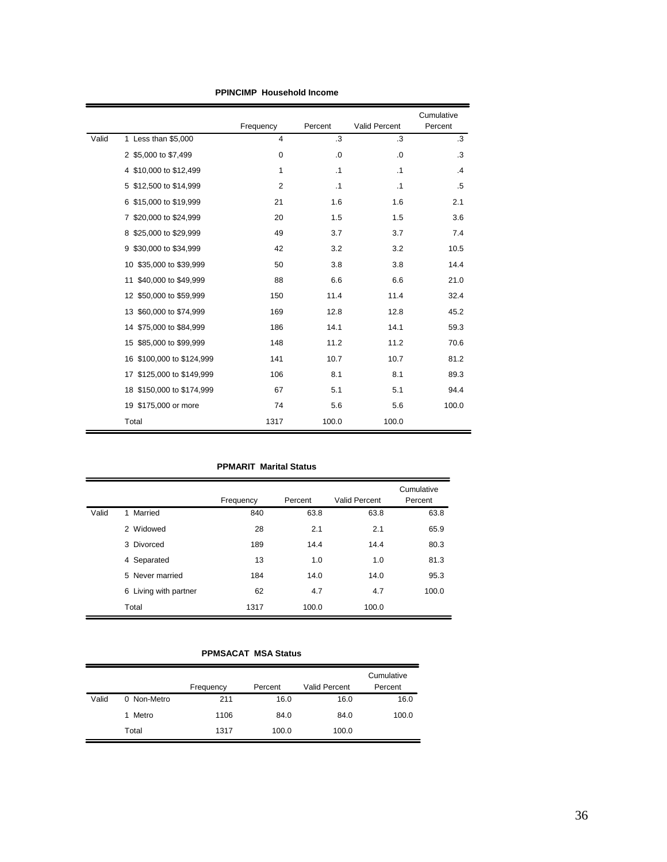|       |                            | Frequency      | Percent   | Valid Percent | Cumulative<br>Percent |
|-------|----------------------------|----------------|-----------|---------------|-----------------------|
| Valid | 1 Less than \$5,000        | 4              | .3        | .3            | .3                    |
|       | 2 \$5,000 to \$7,499       | $\mathbf 0$    | $\cdot 0$ | $\cdot 0$     | .3                    |
|       | 4 \$10,000 to \$12,499     | 1              | $\cdot$ 1 | $\cdot$ 1     | $\cdot$               |
|       | 5 \$12,500 to \$14,999     | $\overline{2}$ | $\cdot$ 1 | $\cdot$ 1     | .5                    |
|       | 6 \$15,000 to \$19,999     | 21             | 1.6       | 1.6           | 2.1                   |
|       | 7 \$20,000 to \$24,999     | 20             | 1.5       | 1.5           | 3.6                   |
|       | 8 \$25,000 to \$29,999     | 49             | 3.7       | 3.7           | 7.4                   |
|       | 9 \$30,000 to \$34,999     | 42             | 3.2       | 3.2           | 10.5                  |
|       | \$35,000 to \$39,999<br>10 | 50             | 3.8       | 3.8           | 14.4                  |
|       | 11 \$40,000 to \$49,999    | 88             | 6.6       | 6.6           | 21.0                  |
|       | 12 \$50,000 to \$59,999    | 150            | 11.4      | 11.4          | 32.4                  |
|       | 13 \$60,000 to \$74,999    | 169            | 12.8      | 12.8          | 45.2                  |
|       | 14 \$75,000 to \$84,999    | 186            | 14.1      | 14.1          | 59.3                  |
|       | \$85,000 to \$99,999<br>15 | 148            | 11.2      | 11.2          | 70.6                  |
|       | 16 \$100,000 to \$124,999  | 141            | 10.7      | 10.7          | 81.2                  |
|       | 17 \$125,000 to \$149,999  | 106            | 8.1       | 8.1           | 89.3                  |
|       | 18 \$150,000 to \$174,999  | 67             | 5.1       | 5.1           | 94.4                  |
|       | 19 \$175,000 or more       | 74             | 5.6       | 5.6           | 100.0                 |
|       | Total                      | 1317           | 100.0     | 100.0         |                       |

**PPINCIMP Household Income**

# **PPMARIT Marital Status**

|       |                       | Frequency | Percent | <b>Valid Percent</b> | Cumulative<br>Percent |
|-------|-----------------------|-----------|---------|----------------------|-----------------------|
| Valid | Married<br>1          | 840       | 63.8    | 63.8                 | 63.8                  |
|       | 2 Widowed             | 28        | 2.1     | 2.1                  | 65.9                  |
|       | 3 Divorced            | 189       | 14.4    | 14.4                 | 80.3                  |
|       | 4 Separated           | 13        | 1.0     | 1.0                  | 81.3                  |
|       | 5 Never married       | 184       | 14.0    | 14.0                 | 95.3                  |
|       | 6 Living with partner | 62        | 4.7     | 4.7                  | 100.0                 |
|       | Total                 | 1317      | 100.0   | 100.0                |                       |

# **PPMSACAT MSA Status**

|       |             | Frequency | Percent | <b>Valid Percent</b> | Cumulative<br>Percent |
|-------|-------------|-----------|---------|----------------------|-----------------------|
| Valid | 0 Non-Metro | 211       | 16.0    | 16.0                 | 16.0                  |
|       | Metro       | 1106      | 84.0    | 84.0                 | 100.0                 |
|       | Total       | 1317      | 100.0   | 100.0                |                       |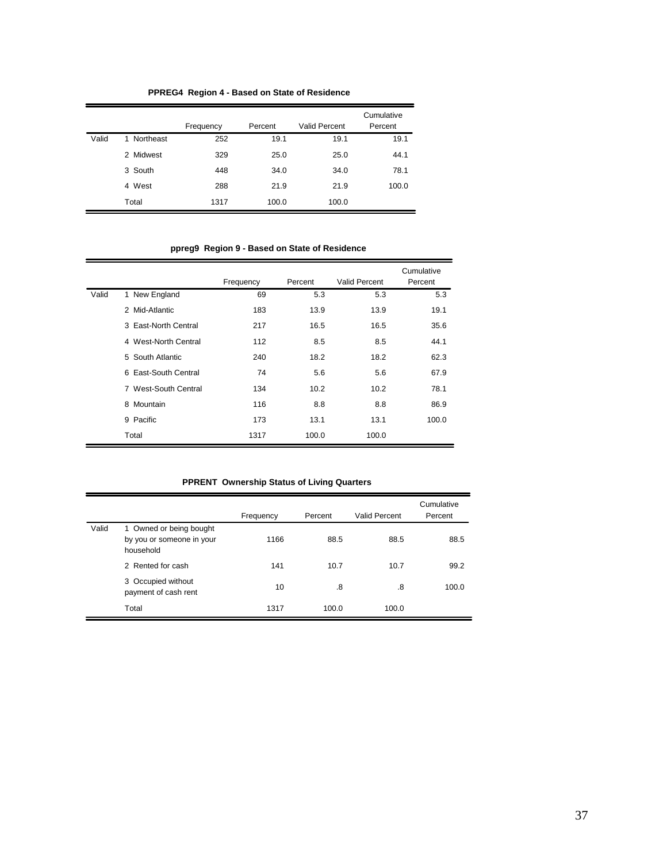|       |                | . .       |         |                      |                       |
|-------|----------------|-----------|---------|----------------------|-----------------------|
|       |                | Frequency | Percent | <b>Valid Percent</b> | Cumulative<br>Percent |
| Valid | Northeast<br>1 | 252       | 19.1    | 19.1                 | 19.1                  |
|       | 2 Midwest      | 329       | 25.0    | 25.0                 | 44.1                  |
|       | 3 South        | 448       | 34.0    | 34.0                 | 78.1                  |
|       | 4 West         | 288       | 21.9    | 21.9                 | 100.0                 |
|       | Total          | 1317      | 100.0   | 100.0                |                       |

**PPREG4 Region 4 - Based on State of Residence**

**ppreg9 Region 9 - Based on State of Residence**

|       |                      | Frequency | Percent | Valid Percent | Cumulative<br>Percent |
|-------|----------------------|-----------|---------|---------------|-----------------------|
| Valid | 1 New England        | 69        | 5.3     | 5.3           | 5.3                   |
|       | 2 Mid-Atlantic       | 183       | 13.9    | 13.9          | 19.1                  |
|       | 3 East-North Central | 217       | 16.5    | 16.5          | 35.6                  |
|       | 4 West-North Central | 112       | 8.5     | 8.5           | 44.1                  |
|       | 5 South Atlantic     | 240       | 18.2    | 18.2          | 62.3                  |
|       | 6 East-South Central | 74        | 5.6     | 5.6           | 67.9                  |
|       | 7 West-South Central | 134       | 10.2    | 10.2          | 78.1                  |
|       | Mountain<br>8        | 116       | 8.8     | 8.8           | 86.9                  |
|       | 9 Pacific            | 173       | 13.1    | 13.1          | 100.0                 |
|       | Total                | 1317      | 100.0   | 100.0         |                       |

|  | <b>PPRENT Ownership Status of Living Quarters</b> |
|--|---------------------------------------------------|
|  |                                                   |

|       |                                                                   | Frequency | Percent | Valid Percent | Cumulative<br>Percent |
|-------|-------------------------------------------------------------------|-----------|---------|---------------|-----------------------|
| Valid | 1 Owned or being bought<br>by you or someone in your<br>household | 1166      | 88.5    | 88.5          | 88.5                  |
|       | 2 Rented for cash                                                 | 141       | 10.7    | 10.7          | 99.2                  |
|       | 3 Occupied without<br>payment of cash rent                        | 10        | .8      | .8            | 100.0                 |
|       | Total                                                             | 1317      | 100.0   | 100.0         |                       |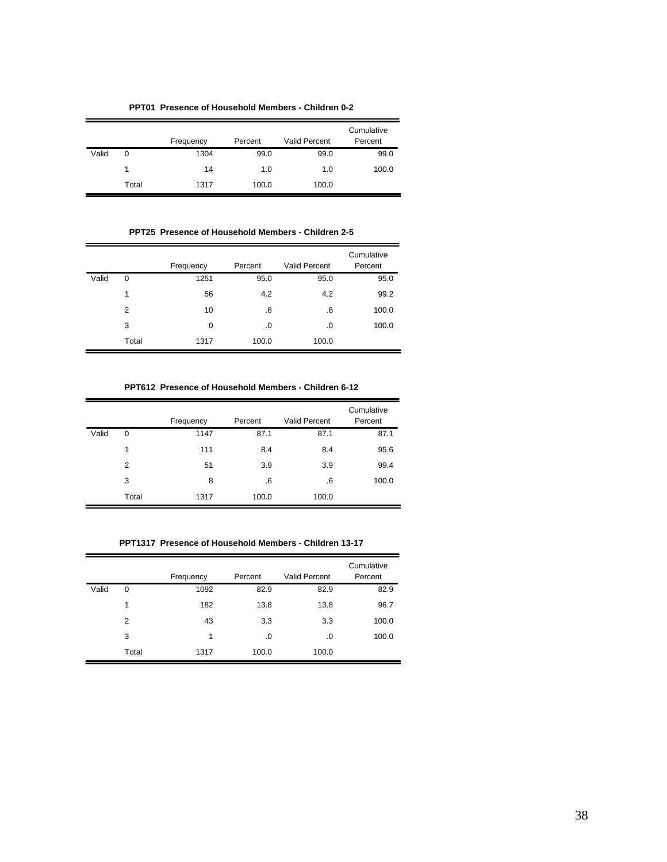**PPT01 Presence of Household Members - Children 0-2**

|       |       | Frequency | Percent | <b>Valid Percent</b> | Cumulative<br>Percent |
|-------|-------|-----------|---------|----------------------|-----------------------|
| Valid | 0     | 1304      | 99.0    | 99.0                 | 99.0                  |
|       |       | 14        | 1.0     | 1.0                  | 100.0                 |
|       | Total | 1317      | 100.0   | 100.0                |                       |

**PPT25 Presence of Household Members - Children 2-5**

|       |             |           |         |                      | Cumulative |
|-------|-------------|-----------|---------|----------------------|------------|
|       |             | Frequency | Percent | <b>Valid Percent</b> | Percent    |
| Valid | $\mathbf 0$ | 1251      | 95.0    | 95.0                 | 95.0       |
|       | 1           | 56        | 4.2     | 4.2                  | 99.2       |
|       | 2           | 10        | .8      | .8                   | 100.0      |
|       | 3           | 0         | .0      | .0                   | 100.0      |
|       | Total       | 1317      | 100.0   | 100.0                |            |

**PPT612 Presence of Household Members - Children 6-12**

|       |       | Frequency | Percent | <b>Valid Percent</b> | Cumulative<br>Percent |
|-------|-------|-----------|---------|----------------------|-----------------------|
| Valid | 0     | 1147      | 87.1    | 87.1                 | 87.1                  |
|       | 1     | 111       | 8.4     | 8.4                  | 95.6                  |
|       | 2     | 51        | 3.9     | 3.9                  | 99.4                  |
|       | 3     | 8         | .6      | .6                   | 100.0                 |
|       | Total | 1317      | 100.0   | 100.0                |                       |

**PPT1317 Presence of Household Members - Children 13-17**

|       |             | Frequency | Percent | <b>Valid Percent</b> | Cumulative<br>Percent |
|-------|-------------|-----------|---------|----------------------|-----------------------|
| Valid | $\mathbf 0$ | 1092      | 82.9    | 82.9                 | 82.9                  |
|       | 1           | 182       | 13.8    | 13.8                 | 96.7                  |
|       | 2           | 43        | 3.3     | 3.3                  | 100.0                 |
|       | 3           | 1         | .0      | .0                   | 100.0                 |
|       | Total       | 1317      | 100.0   | 100.0                |                       |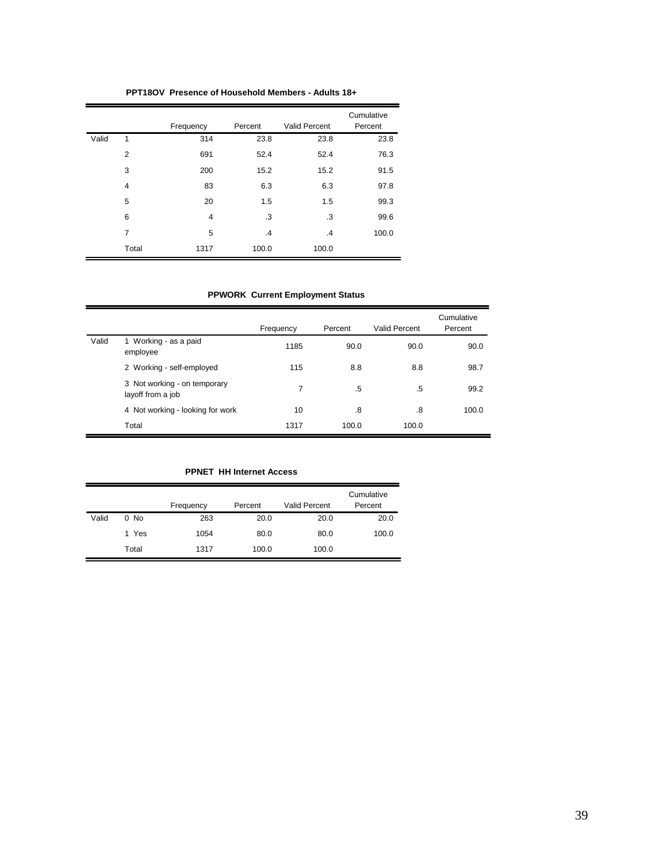|       |                | Frequency      | Percent | Valid Percent | Cumulative<br>Percent |
|-------|----------------|----------------|---------|---------------|-----------------------|
| Valid | 1              | 314            | 23.8    | 23.8          | 23.8                  |
|       | $\overline{2}$ | 691            | 52.4    | 52.4          | 76.3                  |
|       | 3              | 200            | 15.2    | 15.2          | 91.5                  |
|       | $\overline{4}$ | 83             | 6.3     | 6.3           | 97.8                  |
|       | 5              | 20             | 1.5     | 1.5           | 99.3                  |
|       | 6              | $\overline{4}$ | .3      | .3            | 99.6                  |
|       | 7              | 5              | $\cdot$ | $\cdot$       | 100.0                 |
|       | Total          | 1317           | 100.0   | 100.0         |                       |

**PPT18OV Presence of Household Members - Adults 18+**

# **PPWORK Current Employment Status**

|       |                                                   | Frequency | Percent | Valid Percent | Cumulative<br>Percent |
|-------|---------------------------------------------------|-----------|---------|---------------|-----------------------|
| Valid | 1 Working - as a paid<br>employee                 | 1185      | 90.0    | 90.0          | 90.0                  |
|       | 2 Working - self-employed                         | 115       | 8.8     | 8.8           | 98.7                  |
|       | 3 Not working - on temporary<br>layoff from a job | 7         | .5      | .5            | 99.2                  |
|       | 4 Not working - looking for work                  | 10        | .8      | .8            | 100.0                 |
|       | Total                                             | 1317      | 100.0   | 100.0         |                       |

# **PPNET HH Internet Access**

|       |        | Frequency | Percent | <b>Valid Percent</b> | Cumulative<br>Percent |
|-------|--------|-----------|---------|----------------------|-----------------------|
| Valid | $0$ No | 263       | 20.0    | 20.0                 | 20.0                  |
|       | 1 Yes  | 1054      | 80.0    | 80.0                 | 100.0                 |
|       | Total  | 1317      | 100.0   | 100.0                |                       |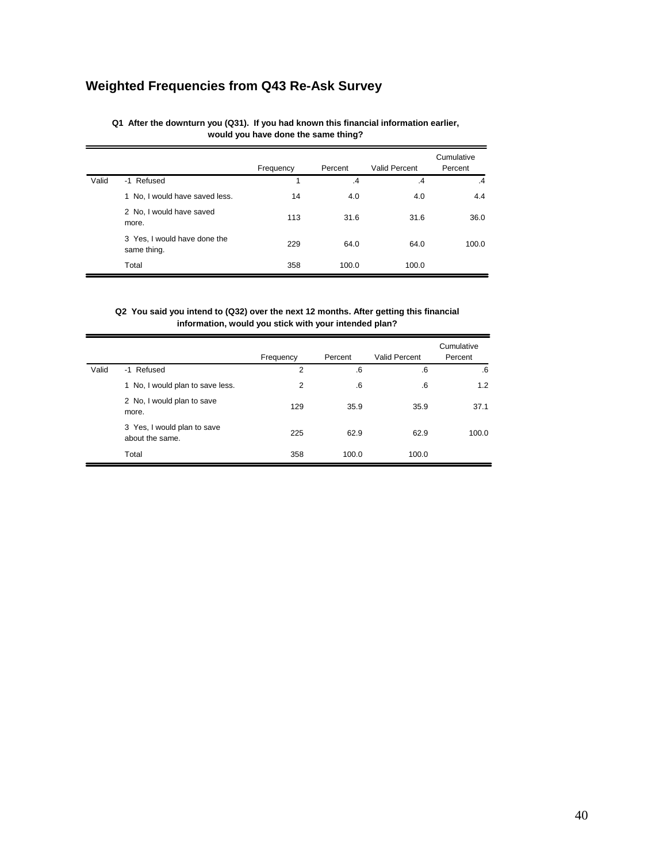# **Weighted Frequencies from Q43 Re-Ask Survey**

## **Q1 After the downturn you (Q31). If you had known this financial information earlier, would you have done the same thing?**

|       |                                             | Frequency | Percent       | Valid Percent   | Cumulative<br>Percent |
|-------|---------------------------------------------|-----------|---------------|-----------------|-----------------------|
| Valid | -1 Refused                                  |           | $\mathcal{A}$ | $\overline{.4}$ | $\cdot$ 4             |
|       | 1 No, I would have saved less.              | 14        | 4.0           | 4.0             | 4.4                   |
|       | 2 No, I would have saved<br>more.           | 113       | 31.6          | 31.6            | 36.0                  |
|       | 3 Yes, I would have done the<br>same thing. | 229       | 64.0          | 64.0            | 100.0                 |
|       | Total                                       | 358       | 100.0         | 100.0           |                       |

## **Q2 You said you intend to (Q32) over the next 12 months. After getting this financial information, would you stick with your intended plan?**

|       |                                                | Frequency      | Percent     | Valid Percent | Cumulative<br>Percent |
|-------|------------------------------------------------|----------------|-------------|---------------|-----------------------|
| Valid | -1 Refused                                     | 2              | .6          | .6            | .6                    |
|       | 1 No, I would plan to save less.               | $\overline{2}$ | $6^{\circ}$ | .6            | 1.2                   |
|       | 2 No, I would plan to save<br>more.            | 129            | 35.9        | 35.9          | 37.1                  |
|       | 3 Yes, I would plan to save<br>about the same. | 225            | 62.9        | 62.9          | 100.0                 |
|       | Total                                          | 358            | 100.0       | 100.0         |                       |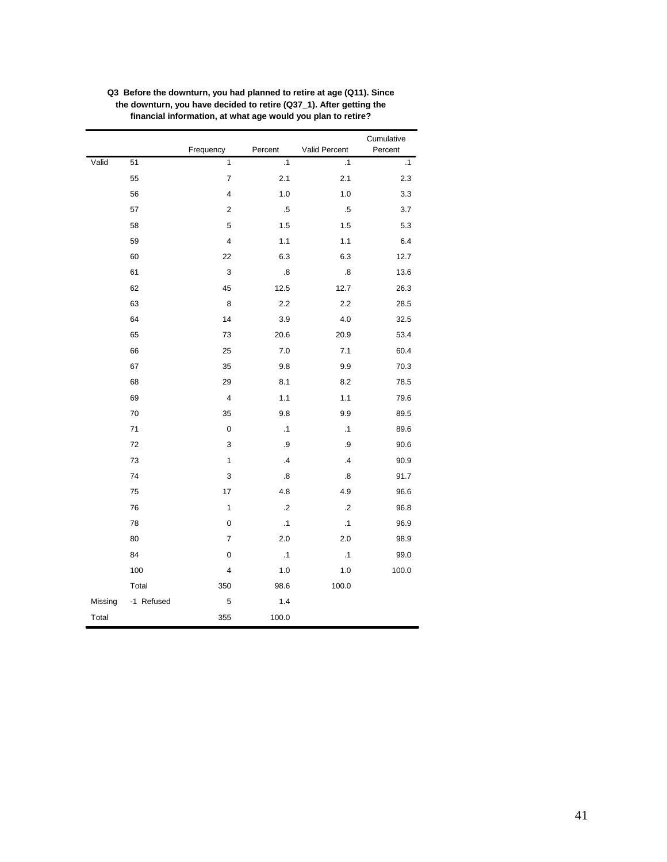|         |            |                |                   |                      | Cumulative |
|---------|------------|----------------|-------------------|----------------------|------------|
|         |            | Frequency      | Percent           | <b>Valid Percent</b> | Percent    |
| Valid   | 51         | 1              | $\cdot$ 1         | $\cdot$ 1            | $\cdot$ 1  |
|         | 55         | 7              | 2.1               | 2.1                  | $2.3\,$    |
|         | 56         | 4              | 1.0               | 1.0                  | 3.3        |
|         | 57         | 2              | .5                | $.5\,$               | 3.7        |
|         | 58         | 5              | 1.5               | 1.5                  | 5.3        |
|         | 59         | 4              | 1.1               | 1.1                  | 6.4        |
|         | 60         | 22             | 6.3               | 6.3                  | 12.7       |
|         | 61         | 3              | $\boldsymbol{.8}$ | $\boldsymbol{.8}$    | 13.6       |
|         | 62         | 45             | 12.5              | 12.7                 | 26.3       |
|         | 63         | 8              | 2.2               | 2.2                  | 28.5       |
|         | 64         | 14             | 3.9               | 4.0                  | 32.5       |
|         | 65         | 73             | 20.6              | 20.9                 | 53.4       |
|         | 66         | 25             | $7.0$             | 7.1                  | 60.4       |
|         | 67         | 35             | 9.8               | 9.9                  | 70.3       |
|         | 68         | 29             | 8.1               | 8.2                  | 78.5       |
|         | 69         | 4              | 1.1               | 1.1                  | 79.6       |
|         | 70         | 35             | 9.8               | 9.9                  | 89.5       |
|         | 71         | 0              | $\cdot$ 1         | $\cdot$ 1            | 89.6       |
|         | 72         | 3              | .9                | .9                   | 90.6       |
|         | 73         | 1              | .4                | .4                   | 90.9       |
|         | 74         | 3              | $\boldsymbol{.8}$ | $\boldsymbol{.8}$    | 91.7       |
|         | 75         | 17             | 4.8               | 4.9                  | 96.6       |
|         | 76         | $\mathbf{1}$   | $\cdot$           | $\cdot$              | 96.8       |
|         | 78         | 0              | $\cdot$ 1         | $\cdot$ 1            | 96.9       |
|         | 80         | $\overline{7}$ | 2.0               | 2.0                  | 98.9       |
|         | 84         | 0              | .1                | $\cdot$ 1            | 99.0       |
|         | 100        | 4              | 1.0               | 1.0                  | 100.0      |
|         | Total      | 350            | 98.6              | 100.0                |            |
| Missing | -1 Refused | 5              | 1.4               |                      |            |
| Total   |            | 355            | 100.0             |                      |            |

**Q3 Before the downturn, you had planned to retire at age (Q11). Since the downturn, you have decided to retire (Q37\_1). After getting the financial information, at what age would you plan to retire?**